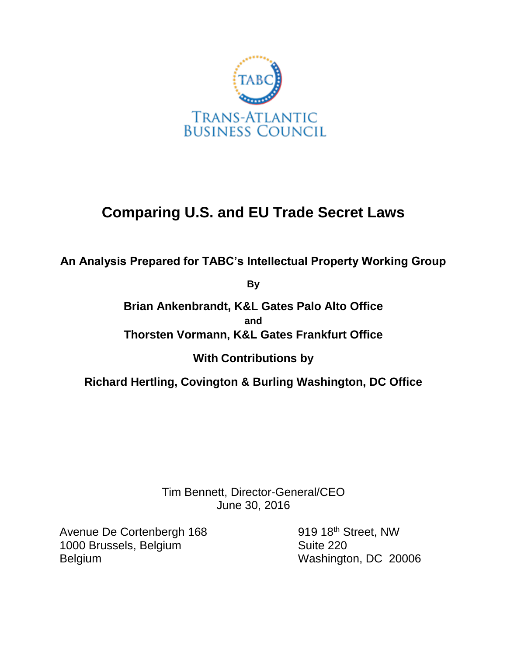

# **Comparing U.S. and EU Trade Secret Laws**

**An Analysis Prepared for TABC's Intellectual Property Working Group**

**By**

**Brian Ankenbrandt, K&L Gates Palo Alto Office and Thorsten Vormann, K&L Gates Frankfurt Office**

**With Contributions by** 

**Richard Hertling, Covington & Burling Washington, DC Office**

Tim Bennett, Director-General/CEO June 30, 2016

Avenue De Cortenbergh 168 919 18<sup>th</sup> Street, NW 1000 Brussels, Belgium Suite 220 Belgium Washington, DC 20006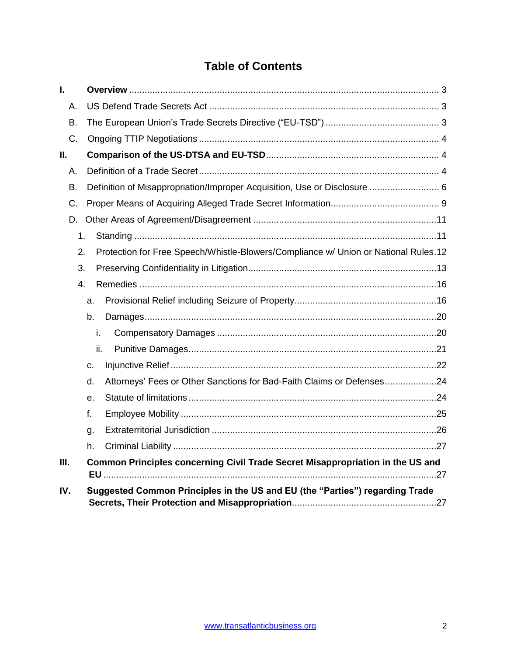# **Table of Contents**

| I.  |     |                                                                                     |  |
|-----|-----|-------------------------------------------------------------------------------------|--|
| А.  |     |                                                                                     |  |
| B.  |     |                                                                                     |  |
| C.  |     |                                                                                     |  |
| П.  |     |                                                                                     |  |
| А.  |     |                                                                                     |  |
| В.  |     | Definition of Misappropriation/Improper Acquisition, Use or Disclosure  6           |  |
| C.  |     |                                                                                     |  |
| D.  |     |                                                                                     |  |
| 1.  |     |                                                                                     |  |
| 2.  |     | Protection for Free Speech/Whistle-Blowers/Compliance w/ Union or National Rules.12 |  |
| 3.  |     |                                                                                     |  |
| 4.  |     |                                                                                     |  |
|     | a.  |                                                                                     |  |
|     | b.  |                                                                                     |  |
|     | i.  |                                                                                     |  |
|     | ii. |                                                                                     |  |
|     | C.  |                                                                                     |  |
|     | d.  | Attorneys' Fees or Other Sanctions for Bad-Faith Claims or Defenses24               |  |
|     | е.  |                                                                                     |  |
|     | f.  |                                                                                     |  |
|     | g.  |                                                                                     |  |
|     | h.  |                                                                                     |  |
| Ш.  |     | Common Principles concerning Civil Trade Secret Misappropriation in the US and      |  |
| IV. |     | Suggested Common Principles in the US and EU (the "Parties") regarding Trade        |  |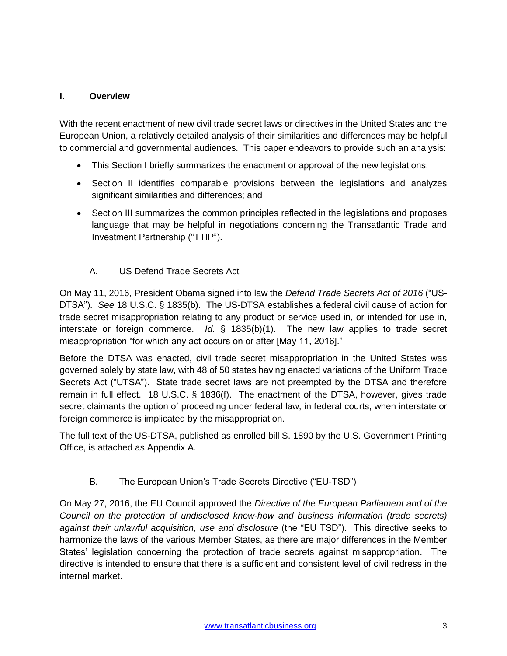### <span id="page-2-0"></span>**I. Overview**

With the recent enactment of new civil trade secret laws or directives in the United States and the European Union, a relatively detailed analysis of their similarities and differences may be helpful to commercial and governmental audiences. This paper endeavors to provide such an analysis:

- This Section I briefly summarizes the enactment or approval of the new legislations;
- Section II identifies comparable provisions between the legislations and analyzes significant similarities and differences; and
- Section III summarizes the common principles reflected in the legislations and proposes language that may be helpful in negotiations concerning the Transatlantic Trade and Investment Partnership ("TTIP").
	- A. US Defend Trade Secrets Act

<span id="page-2-1"></span>On May 11, 2016, President Obama signed into law the *Defend Trade Secrets Act of 2016* ("US-DTSA"). *See* 18 U.S.C. § 1835(b). The US-DTSA establishes a federal civil cause of action for trade secret misappropriation relating to any product or service used in, or intended for use in, interstate or foreign commerce. *Id.* § 1835(b)(1). The new law applies to trade secret misappropriation "for which any act occurs on or after [May 11, 2016]."

Before the DTSA was enacted, civil trade secret misappropriation in the United States was governed solely by state law, with 48 of 50 states having enacted variations of the Uniform Trade Secrets Act ("UTSA"). State trade secret laws are not preempted by the DTSA and therefore remain in full effect. 18 U.S.C. § 1836(f). The enactment of the DTSA, however, gives trade secret claimants the option of proceeding under federal law, in federal courts, when interstate or foreign commerce is implicated by the misappropriation.

The full text of the US-DTSA, published as enrolled bill S. 1890 by the U.S. Government Printing Office, is attached as Appendix A.

B. The European Union's Trade Secrets Directive ("EU-TSD")

<span id="page-2-2"></span>On May 27, 2016, the EU Council approved the *Directive of the European Parliament and of the Council on the protection of undisclosed know-how and business information (trade secrets) against their unlawful acquisition, use and disclosure* (the "EU TSD"). This directive seeks to harmonize the laws of the various Member States, as there are major differences in the Member States' legislation concerning the protection of trade secrets against misappropriation. The directive is intended to ensure that there is a sufficient and consistent level of civil redress in the internal market.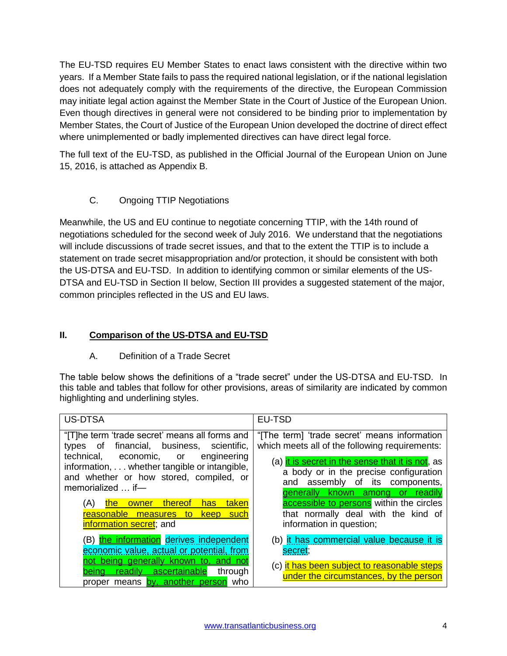The EU-TSD requires EU Member States to enact laws consistent with the directive within two years. If a Member State fails to pass the required national legislation, or if the national legislation does not adequately comply with the requirements of the directive, the European Commission may initiate legal action against the Member State in the Court of Justice of the European Union. Even though directives in general were not considered to be binding prior to implementation by Member States, the Court of Justice of the European Union developed the doctrine of direct effect where unimplemented or badly implemented directives can have direct legal force.

The full text of the EU-TSD, as published in the Official Journal of the European Union on June 15, 2016, is attached as Appendix B.

C. Ongoing TTIP Negotiations

<span id="page-3-0"></span>Meanwhile, the US and EU continue to negotiate concerning TTIP, with the 14th round of negotiations scheduled for the second week of July 2016. We understand that the negotiations will include discussions of trade secret issues, and that to the extent the TTIP is to include a statement on trade secret misappropriation and/or protection, it should be consistent with both the US-DTSA and EU-TSD. In addition to identifying common or similar elements of the US-DTSA and EU-TSD in Section II below, Section III provides a suggested statement of the major, common principles reflected in the US and EU laws.

# <span id="page-3-1"></span>**II. Comparison of the US-DTSA and EU-TSD**

# A. Definition of a Trade Secret

<span id="page-3-2"></span>The table below shows the definitions of a "trade secret" under the US-DTSA and EU-TSD. In this table and tables that follow for other provisions, areas of similarity are indicated by common highlighting and underlining styles.

| <b>US-DTSA</b>                                                                                                                                                                                                                                        | EU-TSD                                                                                                                                                                                                                                                                              |
|-------------------------------------------------------------------------------------------------------------------------------------------------------------------------------------------------------------------------------------------------------|-------------------------------------------------------------------------------------------------------------------------------------------------------------------------------------------------------------------------------------------------------------------------------------|
| "[T]he term 'trade secret' means all forms and<br>financial, business, scientific,<br>types of<br>technical, economic, or engineering<br>information, whether tangible or intangible,<br>and whether or how stored, compiled, or<br>memorialized  if- | "[The term] 'trade secret' means information<br>which meets all of the following requirements:<br>(a) it is secret in the sense that it is not, as<br>a body or in the precise configuration<br>assembly of its components,<br>and<br><b>generally</b><br>known among or<br>readily |
| owner thereof<br>taken<br>(A)<br>has<br>the:<br>reasonable measures<br>such<br>to<br>keep<br>information secret; and                                                                                                                                  | accessible to persons within the circles<br>that normally deal with the kind of<br>information in question;                                                                                                                                                                         |
| (B) the information derives independent<br>economic value, actual or potential, from<br>not being generally known to, and not<br>being readily ascertainable<br>through<br>proper means by, another person who                                        | (b) it has commercial value because it is<br>secret;<br>(c) it has been subject to reasonable steps<br>under the circumstances, by the person                                                                                                                                       |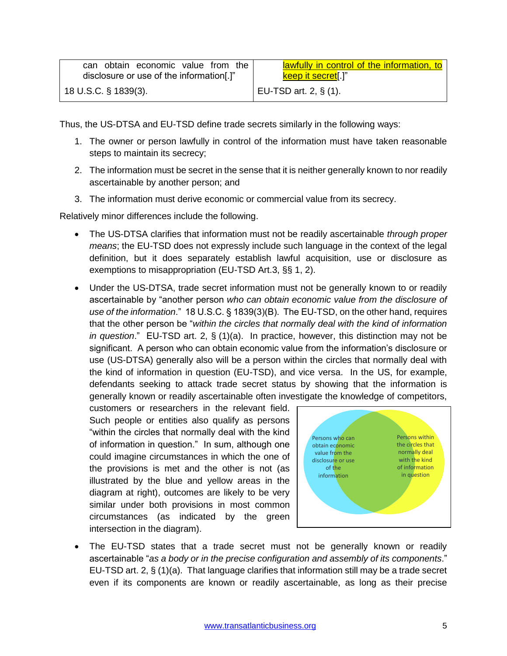| can obtain economic value from the       | lawfully in control of the information, to |
|------------------------------------------|--------------------------------------------|
| disclosure or use of the information[.]" | keep it secret[.]"                         |
| 18 U.S.C. § 1839(3).                     | EU-TSD art. 2, $\S$ (1).                   |

Thus, the US-DTSA and EU-TSD define trade secrets similarly in the following ways:

- 1. The owner or person lawfully in control of the information must have taken reasonable steps to maintain its secrecy;
- 2. The information must be secret in the sense that it is neither generally known to nor readily ascertainable by another person; and
- 3. The information must derive economic or commercial value from its secrecy.

Relatively minor differences include the following.

- The US-DTSA clarifies that information must not be readily ascertainable *through proper means*; the EU-TSD does not expressly include such language in the context of the legal definition, but it does separately establish lawful acquisition, use or disclosure as exemptions to misappropriation (EU-TSD Art.3, §§ 1, 2).
- Under the US-DTSA, trade secret information must not be generally known to or readily ascertainable by "another person *who can obtain economic value from the disclosure of use of the information*." 18 U.S.C. § 1839(3)(B). The EU-TSD, on the other hand, requires that the other person be "*within the circles that normally deal with the kind of information in question*." EU-TSD art. 2, § (1)(a). In practice, however, this distinction may not be significant. A person who can obtain economic value from the information's disclosure or use (US-DTSA) generally also will be a person within the circles that normally deal with the kind of information in question (EU-TSD), and vice versa. In the US, for example, defendants seeking to attack trade secret status by showing that the information is generally known or readily ascertainable often investigate the knowledge of competitors,

customers or researchers in the relevant field. Such people or entities also qualify as persons "within the circles that normally deal with the kind of information in question." In sum, although one could imagine circumstances in which the one of the provisions is met and the other is not (as illustrated by the blue and yellow areas in the diagram at right), outcomes are likely to be very similar under both provisions in most common circumstances (as indicated by the green intersection in the diagram).



 The EU-TSD states that a trade secret must not be generally known or readily ascertainable "*as a body or in the precise configuration and assembly of its components*." EU-TSD art. 2, § (1)(a). That language clarifies that information still may be a trade secret even if its components are known or readily ascertainable, as long as their precise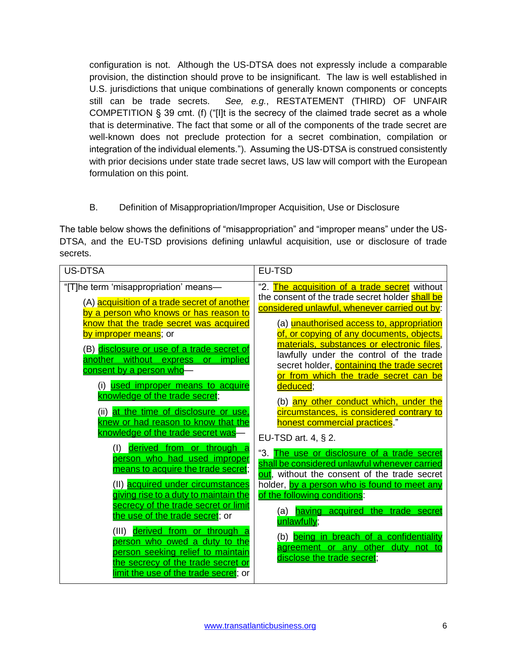configuration is not. Although the US-DTSA does not expressly include a comparable provision, the distinction should prove to be insignificant. The law is well established in U.S. jurisdictions that unique combinations of generally known components or concepts still can be trade secrets. *See, e.g.*, RESTATEMENT (THIRD) OF UNFAIR COMPETITION § 39 cmt. (f) ("[I]t is the secrecy of the claimed trade secret as a whole that is determinative. The fact that some or all of the components of the trade secret are well-known does not preclude protection for a secret combination, compilation or integration of the individual elements."). Assuming the US-DTSA is construed consistently with prior decisions under state trade secret laws, US law will comport with the European formulation on this point.

# B. Definition of Misappropriation/Improper Acquisition, Use or Disclosure

<span id="page-5-0"></span>The table below shows the definitions of "misappropriation" and "improper means" under the US-DTSA, and the EU-TSD provisions defining unlawful acquisition, use or disclosure of trade secrets.

| <b>US-DTSA</b>                                                                                                                                                                                                                                                                                                                                                                                             | <b>EU-TSD</b>                                                                                                                                                                                                                                                                                                                                                                                                                                                                                                       |
|------------------------------------------------------------------------------------------------------------------------------------------------------------------------------------------------------------------------------------------------------------------------------------------------------------------------------------------------------------------------------------------------------------|---------------------------------------------------------------------------------------------------------------------------------------------------------------------------------------------------------------------------------------------------------------------------------------------------------------------------------------------------------------------------------------------------------------------------------------------------------------------------------------------------------------------|
| "[T]he term 'misappropriation' means-<br>(A) acquisition of a trade secret of another<br><u>by a person who knows or has reason to</u><br>know that the trade secret was acquired<br><u>by improper means</u> ; or<br>(B) disclosure or use of a trade secret of<br>another without express or implied<br>consent by a person who-<br>(i) used improper means to acquire<br>knowledge of the trade secret; | "2. The acquisition of a trade secret without<br>the consent of the trade secret holder shall be<br>considered unlawful, whenever carried out by:<br>(a) <b>unauthorised access to, appropriation</b><br>of, or copying of any documents, objects,<br><u>materials, substances or electronic files,</u><br>lawfully under the control of the trade<br>secret holder, <b>containing the trade secret</b><br>or from which the trade secret can be<br>deduced;<br>(b) <mark>any other conduct which, under the</mark> |
| (ii) at the time of disclosure or use,<br>knew or had reason to know that the<br>knowledge of the trade secret was                                                                                                                                                                                                                                                                                         | circumstances, is considered contrary to<br><u>honest commercial practices</u> ."<br>EU-TSD art. 4, § 2.                                                                                                                                                                                                                                                                                                                                                                                                            |
| (I) derived from or through a<br>person who had used improper<br>means to acquire the trade secret;<br>(II) acquired under circumstances<br>giving rise to a duty to maintain the                                                                                                                                                                                                                          | "3. The use or disclosure of a trade secret<br>shall be considered unlawful whenever carried<br><b>out</b> , without the consent of the trade secret<br>holder, by a person who is found to meet any<br>of the following conditions:                                                                                                                                                                                                                                                                                |
| secrecy of the trade secret or limit<br>the use of the trade secret; or<br>derived from or through a<br>(III)<br>person who owed a duty to the<br>person seeking relief to maintain<br>the secrecy of the trade secret or                                                                                                                                                                                  | (a) having acquired the trade secret<br>unlawfully;<br>(b) being in breach of a confidentiality<br>agreement or any other duty not to<br>disclose the trade secret;                                                                                                                                                                                                                                                                                                                                                 |
| <u>imit the use of the trade secret</u> ; or                                                                                                                                                                                                                                                                                                                                                               |                                                                                                                                                                                                                                                                                                                                                                                                                                                                                                                     |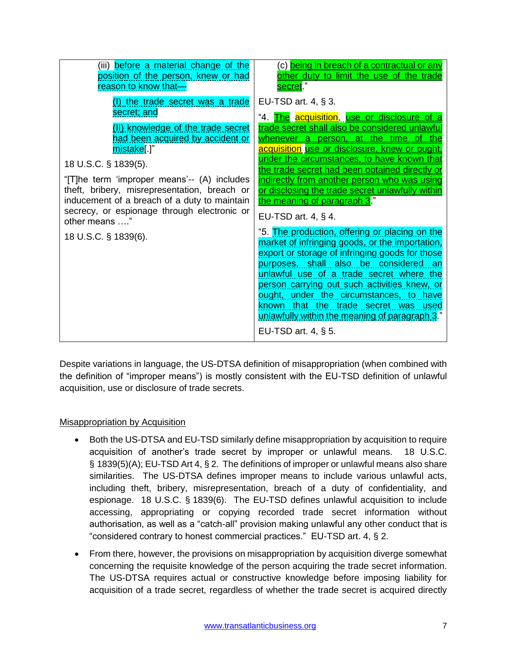| (iii) before a material change of the                                                                                                                                                                                                                                                                                                                                                                          | (c) <mark>being in breach of a contractual or any</mark>                                                                                                                                                                                                                                                                                                                                                                                                                                                                                                                                                                                                                                                                                                                                                                                                                                                                                                   |
|----------------------------------------------------------------------------------------------------------------------------------------------------------------------------------------------------------------------------------------------------------------------------------------------------------------------------------------------------------------------------------------------------------------|------------------------------------------------------------------------------------------------------------------------------------------------------------------------------------------------------------------------------------------------------------------------------------------------------------------------------------------------------------------------------------------------------------------------------------------------------------------------------------------------------------------------------------------------------------------------------------------------------------------------------------------------------------------------------------------------------------------------------------------------------------------------------------------------------------------------------------------------------------------------------------------------------------------------------------------------------------|
| position of the person, knew or had                                                                                                                                                                                                                                                                                                                                                                            | other duty to limit the use of the trade                                                                                                                                                                                                                                                                                                                                                                                                                                                                                                                                                                                                                                                                                                                                                                                                                                                                                                                   |
| reason to know that-                                                                                                                                                                                                                                                                                                                                                                                           | secret."                                                                                                                                                                                                                                                                                                                                                                                                                                                                                                                                                                                                                                                                                                                                                                                                                                                                                                                                                   |
| <u>(I) the trade secret was a trade</u><br>secret; and<br>(II) knowledge of the trade secret<br>had been acquired by accident or<br>mistake[.]"<br>18 U.S.C. § 1839(5).<br>"[T]he term 'improper means'-- (A) includes<br>theft, bribery, misrepresentation, breach or<br>inducement of a breach of a duty to maintain<br>secrecy, or espionage through electronic or<br>other means "<br>18 U.S.C. § 1839(6). | EU-TSD art. $4, § 3$ .<br>"4. <u>The acquisition, use or disclosure of a</u><br>trade secret shall also be considered unlawful<br>whenever a person, at the time of the<br>acquisition use or disclosure, knew or ought,<br><u>under the circumstances, to have known that</u><br>the trade secret had been obtained directly or<br>indirectly from another person who was using<br>or disclosing the trade secret unlawfully within<br>the meaning of paragraph 3."<br>EU-TSD art. $4, § 4$ .<br>"5. The production, offering or placing on the<br>market of infringing goods, or the importation,<br>export or storage of infringing goods for those<br>purposes, shall also be considered an<br>unlawful use of a trade secret where the<br>person carrying out such activities knew, or<br>ought, under the circumstances, to have<br>known that the trade secret was used<br>unlawfully within the meaning of paragraph 3."<br>EU-TSD art. $4, § 5$ . |

Despite variations in language, the US-DTSA definition of misappropriation (when combined with the definition of "improper means") is mostly consistent with the EU-TSD definition of unlawful acquisition, use or disclosure of trade secrets.

#### **Misappropriation by Acquisition**

- Both the US-DTSA and EU-TSD similarly define misappropriation by acquisition to require acquisition of another's trade secret by improper or unlawful means. 18 U.S.C. § 1839(5)(A); EU-TSD Art 4, § 2. The definitions of improper or unlawful means also share similarities. The US-DTSA defines improper means to include various unlawful acts, including theft, bribery, misrepresentation, breach of a duty of confidentiality, and espionage. 18 U.S.C. § 1839(6). The EU-TSD defines unlawful acquisition to include accessing, appropriating or copying recorded trade secret information without authorisation, as well as a "catch-all" provision making unlawful any other conduct that is "considered contrary to honest commercial practices." EU-TSD art. 4, § 2.
- From there, however, the provisions on misappropriation by acquisition diverge somewhat concerning the requisite knowledge of the person acquiring the trade secret information. The US-DTSA requires actual or constructive knowledge before imposing liability for acquisition of a trade secret, regardless of whether the trade secret is acquired directly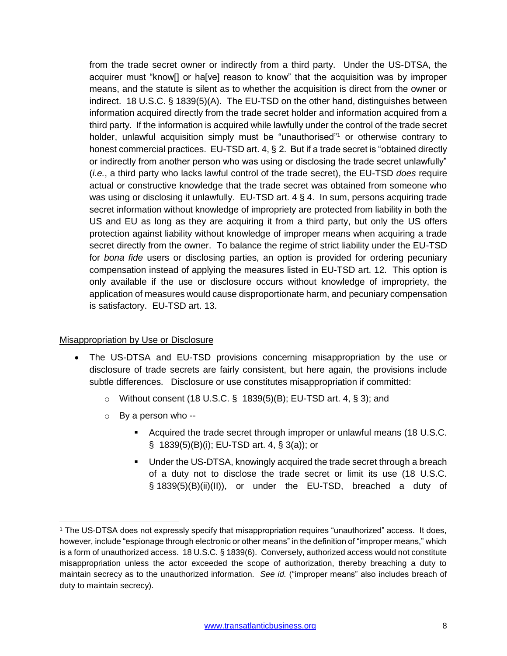from the trade secret owner or indirectly from a third party. Under the US-DTSA, the acquirer must "know[] or ha[ve] reason to know" that the acquisition was by improper means, and the statute is silent as to whether the acquisition is direct from the owner or indirect. 18 U.S.C. § 1839(5)(A). The EU-TSD on the other hand, distinguishes between information acquired directly from the trade secret holder and information acquired from a third party. If the information is acquired while lawfully under the control of the trade secret holder, unlawful acquisition simply must be "unauthorised"<sup>1</sup> or otherwise contrary to honest commercial practices. EU-TSD art. 4, § 2. But if a trade secret is "obtained directly or indirectly from another person who was using or disclosing the trade secret unlawfully" (*i.e.*, a third party who lacks lawful control of the trade secret), the EU-TSD *does* require actual or constructive knowledge that the trade secret was obtained from someone who was using or disclosing it unlawfully. EU-TSD art. 4 § 4. In sum, persons acquiring trade secret information without knowledge of impropriety are protected from liability in both the US and EU as long as they are acquiring it from a third party, but only the US offers protection against liability without knowledge of improper means when acquiring a trade secret directly from the owner. To balance the regime of strict liability under the EU-TSD for *bona fide* users or disclosing parties, an option is provided for ordering pecuniary compensation instead of applying the measures listed in EU-TSD art. 12. This option is only available if the use or disclosure occurs without knowledge of impropriety, the application of measures would cause disproportionate harm, and pecuniary compensation is satisfactory. EU-TSD art. 13.

#### Misappropriation by Use or Disclosure

- The US-DTSA and EU-TSD provisions concerning misappropriation by the use or disclosure of trade secrets are fairly consistent, but here again, the provisions include subtle differences. Disclosure or use constitutes misappropriation if committed:
	- $\circ$  Without consent (18 U.S.C. § 1839(5)(B); EU-TSD art. 4, § 3); and
	- $\circ$  By a person who --

 $\overline{\phantom{a}}$ 

- Acquired the trade secret through improper or unlawful means (18 U.S.C. § 1839(5)(B)(i); EU-TSD art. 4, § 3(a)); or
- Under the US-DTSA, knowingly acquired the trade secret through a breach of a duty not to disclose the trade secret or limit its use (18 U.S.C. § 1839(5)(B)(ii)(II)), or under the EU-TSD, breached a duty of

<sup>1</sup> The US-DTSA does not expressly specify that misappropriation requires "unauthorized" access. It does, however, include "espionage through electronic or other means" in the definition of "improper means," which is a form of unauthorized access. 18 U.S.C. § 1839(6). Conversely, authorized access would not constitute misappropriation unless the actor exceeded the scope of authorization, thereby breaching a duty to maintain secrecy as to the unauthorized information. *See id.* ("improper means" also includes breach of duty to maintain secrecy).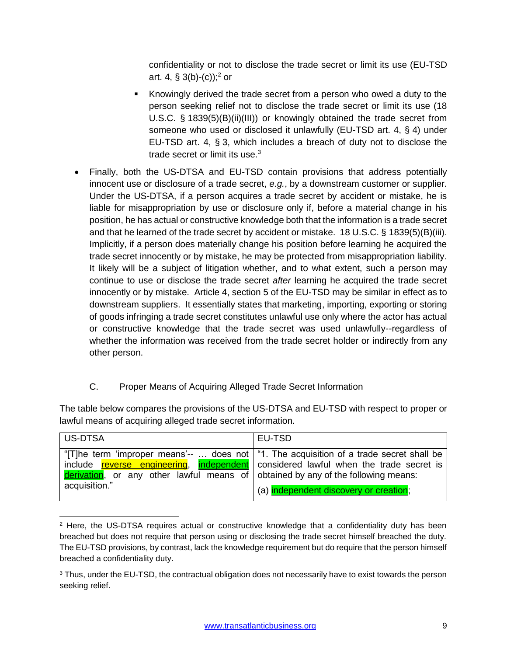confidentiality or not to disclose the trade secret or limit its use (EU-TSD art. 4, § 3(b)-(c));<sup>2</sup> or

- Knowingly derived the trade secret from a person who owed a duty to the person seeking relief not to disclose the trade secret or limit its use (18 U.S.C. § 1839(5)(B)(ii)(III)) or knowingly obtained the trade secret from someone who used or disclosed it unlawfully (EU-TSD art. 4, § 4) under EU-TSD art. 4, § 3, which includes a breach of duty not to disclose the trade secret or limit its use. $3$
- Finally, both the US-DTSA and EU-TSD contain provisions that address potentially innocent use or disclosure of a trade secret, *e.g.*, by a downstream customer or supplier. Under the US-DTSA, if a person acquires a trade secret by accident or mistake, he is liable for misappropriation by use or disclosure only if, before a material change in his position, he has actual or constructive knowledge both that the information is a trade secret and that he learned of the trade secret by accident or mistake. 18 U.S.C. § 1839(5)(B)(iii). Implicitly, if a person does materially change his position before learning he acquired the trade secret innocently or by mistake, he may be protected from misappropriation liability. It likely will be a subject of litigation whether, and to what extent, such a person may continue to use or disclose the trade secret *after* learning he acquired the trade secret innocently or by mistake. Article 4, section 5 of the EU-TSD may be similar in effect as to downstream suppliers. It essentially states that marketing, importing, exporting or storing of goods infringing a trade secret constitutes unlawful use only where the actor has actual or constructive knowledge that the trade secret was used unlawfully--regardless of whether the information was received from the trade secret holder or indirectly from any other person.

# C. Proper Means of Acquiring Alleged Trade Secret Information

 $\overline{\phantom{a}}$ 

<span id="page-8-0"></span>The table below compares the provisions of the US-DTSA and EU-TSD with respect to proper or lawful means of acquiring alleged trade secret information.

| US-DTSA                                                                                           | EU-TSD                                                                                                                                                                                                                             |
|---------------------------------------------------------------------------------------------------|------------------------------------------------------------------------------------------------------------------------------------------------------------------------------------------------------------------------------------|
| derivation, or any other lawful means of obtained by any of the following means:<br>acquisition." | "[T]he term 'improper means'--  does not   "1. The acquisition of a trade secret shall be<br>include reverse engineering, independent considered lawful when the trade secret is<br>(a) <i>independent discovery or creation</i> : |

<sup>&</sup>lt;sup>2</sup> Here, the US-DTSA requires actual or constructive knowledge that a confidentiality duty has been breached but does not require that person using or disclosing the trade secret himself breached the duty. The EU-TSD provisions, by contrast, lack the knowledge requirement but do require that the person himself breached a confidentiality duty.

<sup>&</sup>lt;sup>3</sup> Thus, under the EU-TSD, the contractual obligation does not necessarily have to exist towards the person seeking relief.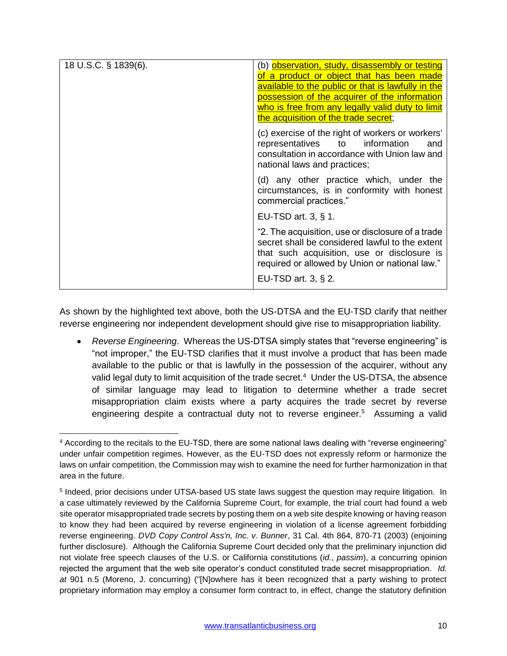| 18 U.S.C. § 1839(6). | (b) observation, study, disassembly or testing<br>of a product or object that has been made<br>available to the public or that is lawfully in the<br>possession of the acquirer of the information<br>who is free from any legally valid duty to limit<br>the acquisition of the trade secret; |
|----------------------|------------------------------------------------------------------------------------------------------------------------------------------------------------------------------------------------------------------------------------------------------------------------------------------------|
|                      | (c) exercise of the right of workers or workers'<br>representatives<br>to<br>information<br>and<br>consultation in accordance with Union law and<br>national laws and practices;                                                                                                               |
|                      | (d) any other practice which, under the<br>circumstances, is in conformity with honest<br>commercial practices."                                                                                                                                                                               |
|                      | EU-TSD art. 3, $\S$ 1.                                                                                                                                                                                                                                                                         |
|                      | "2. The acquisition, use or disclosure of a trade<br>secret shall be considered lawful to the extent<br>that such acquisition, use or disclosure is<br>required or allowed by Union or national law."                                                                                          |
|                      | EU-TSD art. 3, $\S$ 2.                                                                                                                                                                                                                                                                         |

As shown by the highlighted text above, both the US-DTSA and the EU-TSD clarify that neither reverse engineering nor independent development should give rise to misappropriation liability.

 *Reverse Engineering*. Whereas the US-DTSA simply states that "reverse engineering" is "not improper," the EU-TSD clarifies that it must involve a product that has been made available to the public or that is lawfully in the possession of the acquirer, without any valid legal duty to limit acquisition of the trade secret.<sup>4</sup> Under the US-DTSA, the absence of similar language may lead to litigation to determine whether a trade secret misappropriation claim exists where a party acquires the trade secret by reverse engineering despite a contractual duty not to reverse engineer.<sup>5</sup> Assuming a valid

 $\overline{\phantom{a}}$ 

<sup>4</sup> According to the recitals to the EU-TSD, there are some national laws dealing with "reverse engineering" under unfair competition regimes. However, as the EU-TSD does not expressly reform or harmonize the laws on unfair competition, the Commission may wish to examine the need for further harmonization in that area in the future.

<sup>&</sup>lt;sup>5</sup> Indeed, prior decisions under UTSA-based US state laws suggest the question may require litigation. In a case ultimately reviewed by the California Supreme Court, for example, the trial court had found a web site operator misappropriated trade secrets by posting them on a web site despite knowing or having reason to know they had been acquired by reverse engineering in violation of a license agreement forbidding reverse engineering. *DVD Copy Control Ass'n, Inc. v. Bunner*, 31 Cal. 4th 864, 870-71 (2003) (enjoining further disclosure). Although the California Supreme Court decided only that the preliminary injunction did not violate free speech clauses of the U.S. or California constitutions (*id.*, *passim*), a concurring opinion rejected the argument that the web site operator's conduct constituted trade secret misappropriation. *Id. at* 901 n.5 (Moreno, J. concurring) ("[N]owhere has it been recognized that a party wishing to protect proprietary information may employ a consumer form contract to, in effect, change the statutory definition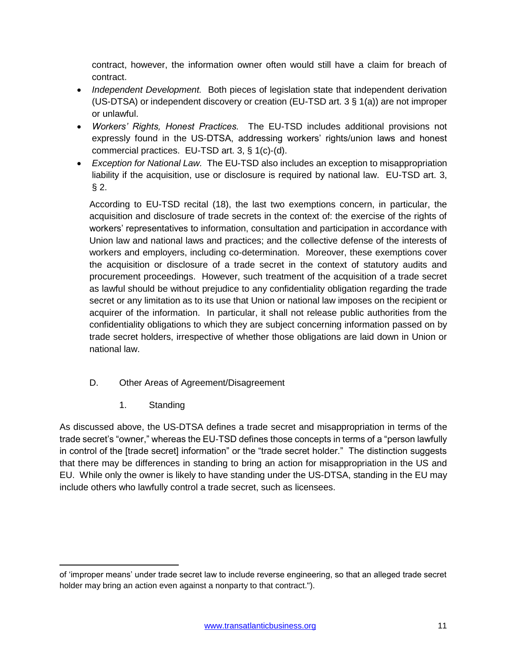contract, however, the information owner often would still have a claim for breach of contract.

- *Independent Development.* Both pieces of legislation state that independent derivation (US-DTSA) or independent discovery or creation (EU-TSD art. 3 § 1(a)) are not improper or unlawful.
- *Workers' Rights, Honest Practices.* The EU-TSD includes additional provisions not expressly found in the US-DTSA, addressing workers' rights/union laws and honest commercial practices. EU-TSD art. 3, § 1(c)-(d).
- *Exception for National Law.* The EU-TSD also includes an exception to misappropriation liability if the acquisition, use or disclosure is required by national law. EU-TSD art. 3,  $§$  2.

According to EU-TSD recital (18), the last two exemptions concern, in particular, the acquisition and disclosure of trade secrets in the context of: the exercise of the rights of workers' representatives to information, consultation and participation in accordance with Union law and national laws and practices; and the collective defense of the interests of workers and employers, including co-determination. Moreover, these exemptions cover the acquisition or disclosure of a trade secret in the context of statutory audits and procurement proceedings. However, such treatment of the acquisition of a trade secret as lawful should be without prejudice to any confidentiality obligation regarding the trade secret or any limitation as to its use that Union or national law imposes on the recipient or acquirer of the information. In particular, it shall not release public authorities from the confidentiality obligations to which they are subject concerning information passed on by trade secret holders, irrespective of whether those obligations are laid down in Union or national law.

- <span id="page-10-0"></span>D. Other Areas of Agreement/Disagreement
	- 1. Standing

<span id="page-10-1"></span>As discussed above, the US-DTSA defines a trade secret and misappropriation in terms of the trade secret's "owner," whereas the EU-TSD defines those concepts in terms of a "person lawfully in control of the [trade secret] information" or the "trade secret holder." The distinction suggests that there may be differences in standing to bring an action for misappropriation in the US and EU. While only the owner is likely to have standing under the US-DTSA, standing in the EU may include others who lawfully control a trade secret, such as licensees.

 $\overline{\phantom{a}}$ of 'improper means' under trade secret law to include reverse engineering, so that an alleged trade secret holder may bring an action even against a nonparty to that contract.").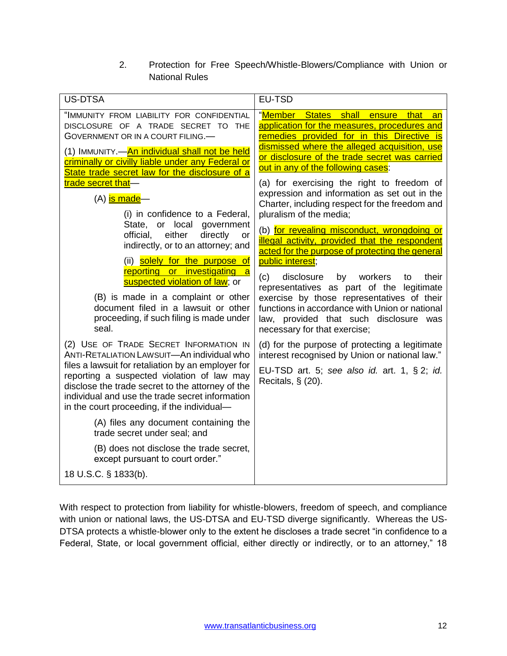2. Protection for Free Speech/Whistle-Blowers/Compliance with Union or National Rules

<span id="page-11-0"></span>

| <b>US-DTSA</b>                                                                                                                                                                                                                                         | EU-TSD                                                                                                                                                                               |
|--------------------------------------------------------------------------------------------------------------------------------------------------------------------------------------------------------------------------------------------------------|--------------------------------------------------------------------------------------------------------------------------------------------------------------------------------------|
| "IMMUNITY FROM LIABILITY FOR CONFIDENTIAL<br>DISCLOSURE OF A TRADE SECRET TO THE<br>GOVERNMENT OR IN A COURT FILING.<br>(1) IMMUNITY.—An individual shall not be held                                                                                  | "Member States shall ensure that<br>an<br>application for the measures, procedures and<br>remedies provided for in this Directive is<br>dismissed where the alleged acquisition, use |
| criminally or civilly liable under any Federal or<br>State trade secret law for the disclosure of a                                                                                                                                                    | or disclosure of the trade secret was carried<br>out in any of the following cases:                                                                                                  |
| trade secret that-<br>(A) is made-<br>(i) in confidence to a Federal,                                                                                                                                                                                  | (a) for exercising the right to freedom of<br>expression and information as set out in the<br>Charter, including respect for the freedom and<br>pluralism of the media;              |
| State, or local government<br>either<br>directly<br>official,<br>or<br>indirectly, or to an attorney; and<br>(ii) solely for the purpose of                                                                                                            | (b) for revealing misconduct, wrongdoing or<br>illegal activity, provided that the respondent<br>acted for the purpose of protecting the general<br>public interest;                 |
| reporting or investigating a<br>suspected violation of law; or                                                                                                                                                                                         | by workers<br>(c)<br>disclosure<br>to<br>their<br>representatives as part of the legitimate                                                                                          |
| (B) is made in a complaint or other<br>document filed in a lawsuit or other<br>proceeding, if such filing is made under<br>seal.                                                                                                                       | exercise by those representatives of their<br>functions in accordance with Union or national<br>law, provided that such disclosure was<br>necessary for that exercise;               |
| (2) USE OF TRADE SECRET INFORMATION IN<br>ANTI-RETALIATION LAWSUIT-An individual who                                                                                                                                                                   | (d) for the purpose of protecting a legitimate<br>interest recognised by Union or national law."                                                                                     |
| files a lawsuit for retaliation by an employer for<br>reporting a suspected violation of law may<br>disclose the trade secret to the attorney of the<br>individual and use the trade secret information<br>in the court proceeding, if the individual- | EU-TSD art. 5; see also id. art. 1, $\S 2$ ; id.<br>Recitals, $\S$ (20).                                                                                                             |
| (A) files any document containing the<br>trade secret under seal; and                                                                                                                                                                                  |                                                                                                                                                                                      |
| (B) does not disclose the trade secret,<br>except pursuant to court order."                                                                                                                                                                            |                                                                                                                                                                                      |
| 18 U.S.C. § 1833(b).                                                                                                                                                                                                                                   |                                                                                                                                                                                      |

With respect to protection from liability for whistle-blowers, freedom of speech, and compliance with union or national laws, the US-DTSA and EU-TSD diverge significantly. Whereas the US-DTSA protects a whistle-blower only to the extent he discloses a trade secret "in confidence to a Federal, State, or local government official, either directly or indirectly, or to an attorney," 18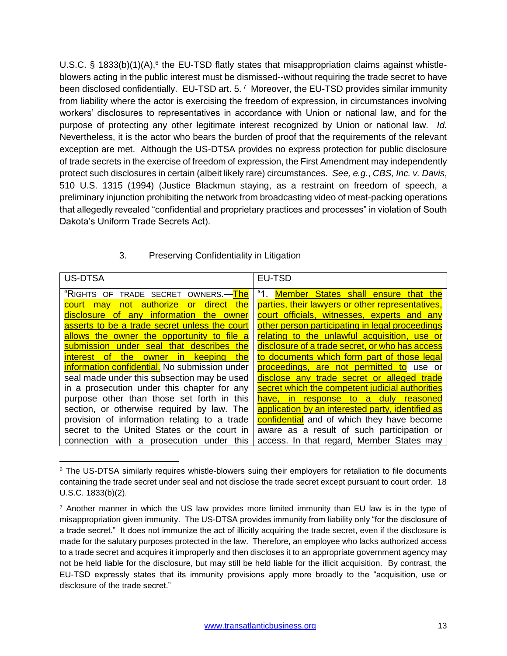U.S.C. § 1833(b)(1)(A), $6$  the EU-TSD flatly states that misappropriation claims against whistleblowers acting in the public interest must be dismissed--without requiring the trade secret to have been disclosed confidentially. EU-TSD art. 5.<sup>7</sup> Moreover, the EU-TSD provides similar immunity from liability where the actor is exercising the freedom of expression, in circumstances involving workers' disclosures to representatives in accordance with Union or national law, and for the purpose of protecting any other legitimate interest recognized by Union or national law. *Id.* Nevertheless, it is the actor who bears the burden of proof that the requirements of the relevant exception are met. Although the US-DTSA provides no express protection for public disclosure of trade secrets in the exercise of freedom of expression, the First Amendment may independently protect such disclosures in certain (albeit likely rare) circumstances. *See, e.g.*, *CBS, Inc. v. Davis*, 510 U.S. 1315 (1994) (Justice Blackmun staying, as a restraint on freedom of speech, a preliminary injunction prohibiting the network from broadcasting video of meat-packing operations that allegedly revealed "confidential and proprietary practices and processes" in violation of South Dakota's Uniform Trade Secrets Act).

#### <span id="page-12-0"></span>US-DTSA **EU-TSD** "RIGHTS OF TRADE SECRET OWNERS.—<mark>The</mark> court may not authorize or direct the disclosure of any information the owner asserts to be a trade secret unless the court allows the owner the opportunity to file a submission under seal that describes the interest of the owner in keeping the information confidential. No submission under seal made under this subsection may be used in a prosecution under this chapter for any purpose other than those set forth in this section, or otherwise required by law. The provision of information relating to a trade secret to the United States or the court in connection with a prosecution under this "1. Member States shall ensure that the parties, their lawyers or other representatives, court officials, witnesses, experts and any other person participating in legal proceedings relating to the unlawful acquisition, use or disclosure of a trade secret, or who has access to documents which form part of those legal proceedings, are not permitted to use or disclose any trade secret or alleged trade secret which the competent judicial authorities have, in response to a duly reasoned application by an interested party, identified as confidential and of which they have become aware as a result of such participation or access. In that regard, Member States may

# 3. Preserving Confidentiality in Litigation

l

<sup>&</sup>lt;sup>6</sup> The US-DTSA similarly requires whistle-blowers suing their employers for retaliation to file documents containing the trade secret under seal and not disclose the trade secret except pursuant to court order. 18 U.S.C. 1833(b)(2).

 $<sup>7</sup>$  Another manner in which the US law provides more limited immunity than EU law is in the type of</sup> misappropriation given immunity. The US-DTSA provides immunity from liability only "for the disclosure of a trade secret." It does not immunize the act of illicitly acquiring the trade secret, even if the disclosure is made for the salutary purposes protected in the law. Therefore, an employee who lacks authorized access to a trade secret and acquires it improperly and then discloses it to an appropriate government agency may not be held liable for the disclosure, but may still be held liable for the illicit acquisition. By contrast, the EU-TSD expressly states that its immunity provisions apply more broadly to the "acquisition, use or disclosure of the trade secret."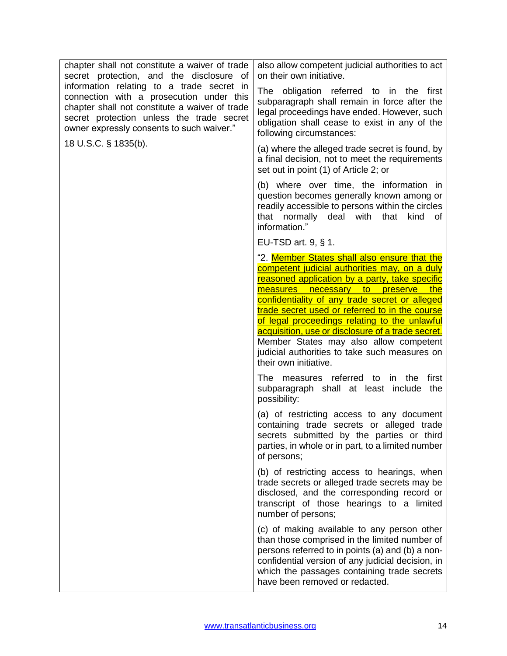| chapter shall not constitute a waiver of trade<br>secret protection, and the disclosure of                                                                                                                                        | also allow competent judicial authorities to act<br>on their own initiative.                                                                                                                                                                                                                                                                                                                                                                                                                                               |
|-----------------------------------------------------------------------------------------------------------------------------------------------------------------------------------------------------------------------------------|----------------------------------------------------------------------------------------------------------------------------------------------------------------------------------------------------------------------------------------------------------------------------------------------------------------------------------------------------------------------------------------------------------------------------------------------------------------------------------------------------------------------------|
| information relating to a trade secret in<br>connection with a prosecution under this<br>chapter shall not constitute a waiver of trade<br>secret protection unless the trade secret<br>owner expressly consents to such waiver." | The obligation referred to in the<br>first<br>subparagraph shall remain in force after the<br>legal proceedings have ended. However, such<br>obligation shall cease to exist in any of the<br>following circumstances:                                                                                                                                                                                                                                                                                                     |
| 18 U.S.C. § 1835(b).                                                                                                                                                                                                              | (a) where the alleged trade secret is found, by<br>a final decision, not to meet the requirements<br>set out in point (1) of Article 2; or                                                                                                                                                                                                                                                                                                                                                                                 |
|                                                                                                                                                                                                                                   | (b) where over time, the information in<br>question becomes generally known among or<br>readily accessible to persons within the circles<br>deal with<br>that normally<br>that<br>kind of<br>information."                                                                                                                                                                                                                                                                                                                 |
|                                                                                                                                                                                                                                   | EU-TSD art. 9, § 1.                                                                                                                                                                                                                                                                                                                                                                                                                                                                                                        |
|                                                                                                                                                                                                                                   | "2. <b>Member States shall also ensure that the</b><br>competent judicial authorities may, on a duly<br>reasoned application by a party, take specific<br>measures necessary to preserve the<br>confidentiality of any trade secret or alleged<br>trade secret used or referred to in the course<br>of legal proceedings relating to the unlawful<br>acquisition, use or disclosure of a trade secret.<br>Member States may also allow competent<br>judicial authorities to take such measures on<br>their own initiative. |
|                                                                                                                                                                                                                                   | The measures referred to in the<br>first<br>subparagraph shall at least include<br>the<br>possibility:                                                                                                                                                                                                                                                                                                                                                                                                                     |
|                                                                                                                                                                                                                                   | (a) of restricting access to any document<br>containing trade secrets or alleged trade<br>secrets submitted by the parties or third<br>parties, in whole or in part, to a limited number<br>of persons;                                                                                                                                                                                                                                                                                                                    |
|                                                                                                                                                                                                                                   | (b) of restricting access to hearings, when<br>trade secrets or alleged trade secrets may be<br>disclosed, and the corresponding record or<br>transcript of those hearings to a limited<br>number of persons;                                                                                                                                                                                                                                                                                                              |
|                                                                                                                                                                                                                                   | (c) of making available to any person other<br>than those comprised in the limited number of<br>persons referred to in points (a) and (b) a non-<br>confidential version of any judicial decision, in<br>which the passages containing trade secrets<br>have been removed or redacted.                                                                                                                                                                                                                                     |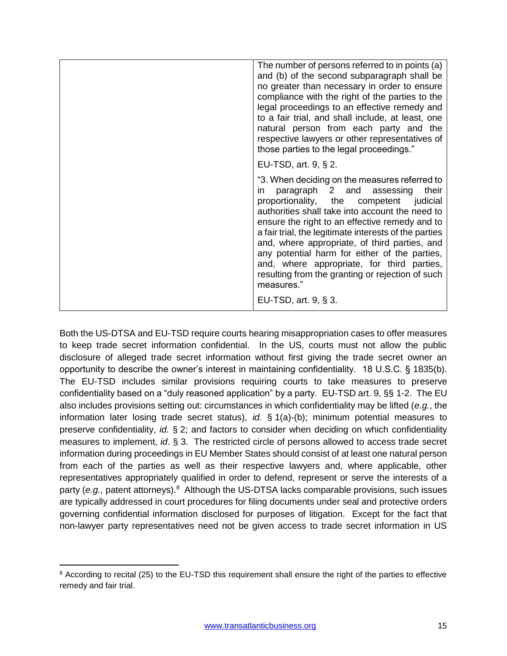| The number of persons referred to in points (a)<br>and (b) of the second subparagraph shall be<br>no greater than necessary in order to ensure<br>compliance with the right of the parties to the<br>legal proceedings to an effective remedy and<br>to a fair trial, and shall include, at least, one<br>natural person from each party and the<br>respective lawyers or other representatives of<br>those parties to the legal proceedings."                                                                        |
|-----------------------------------------------------------------------------------------------------------------------------------------------------------------------------------------------------------------------------------------------------------------------------------------------------------------------------------------------------------------------------------------------------------------------------------------------------------------------------------------------------------------------|
| EU-TSD, art. $9, § 2$ .                                                                                                                                                                                                                                                                                                                                                                                                                                                                                               |
| "3. When deciding on the measures referred to<br>their<br>paragraph 2 and assessing<br>in.<br>proportionality, the competent judicial<br>authorities shall take into account the need to<br>ensure the right to an effective remedy and to<br>a fair trial, the legitimate interests of the parties<br>and, where appropriate, of third parties, and<br>any potential harm for either of the parties,<br>and, where appropriate, for third parties,<br>resulting from the granting or rejection of such<br>measures." |
| EU-TSD, art. 9, § 3.                                                                                                                                                                                                                                                                                                                                                                                                                                                                                                  |

Both the US-DTSA and EU-TSD require courts hearing misappropriation cases to offer measures to keep trade secret information confidential. In the US, courts must not allow the public disclosure of alleged trade secret information without first giving the trade secret owner an opportunity to describe the owner's interest in maintaining confidentiality. 18 U.S.C. § 1835(b). The EU-TSD includes similar provisions requiring courts to take measures to preserve confidentiality based on a "duly reasoned application" by a party. EU-TSD art. 9, §§ 1-2. The EU also includes provisions setting out: circumstances in which confidentiality may be lifted (*e.g.*, the information later losing trade secret status), *id.* § 1(a)-(b); minimum potential measures to preserve confidentiality, *id.* § 2; and factors to consider when deciding on which confidentiality measures to implement, *id*. § 3. The restricted circle of persons allowed to access trade secret information during proceedings in EU Member States should consist of at least one natural person from each of the parties as well as their respective lawyers and, where applicable, other representatives appropriately qualified in order to defend, represent or serve the interests of a party (e.g., patent attorneys).<sup>8</sup> Although the US-DTSA lacks comparable provisions, such issues are typically addressed in court procedures for filing documents under seal and protective orders governing confidential information disclosed for purposes of litigation. Except for the fact that non-lawyer party representatives need not be given access to trade secret information in US

 $\overline{\phantom{a}}$ 8 According to recital (25) to the EU-TSD this requirement shall ensure the right of the parties to effective remedy and fair trial.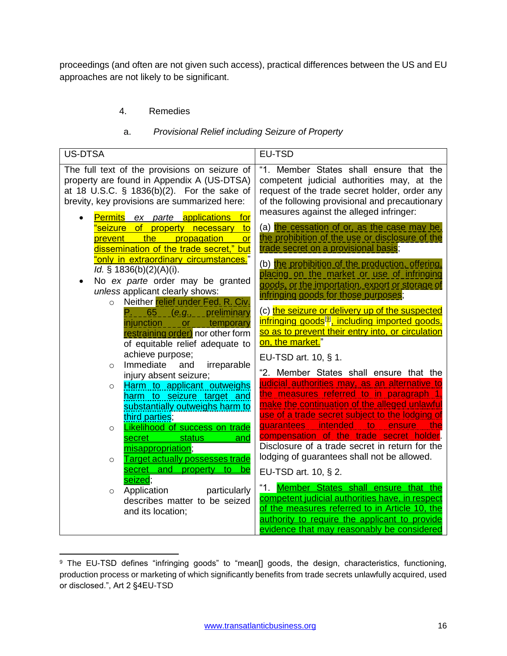proceedings (and often are not given such access), practical differences between the US and EU approaches are not likely to be significant.

# 4. Remedies

#### a. *Provisional Relief including Seizure of Property*

<span id="page-15-1"></span><span id="page-15-0"></span>

| <b>US-DTSA</b>                                                                                                                                                                                                                                                                                                                                                                                                                            | <b>EU-TSD</b>                                                                                                                                                                                                                                                                                                                                                                                                                                                                    |
|-------------------------------------------------------------------------------------------------------------------------------------------------------------------------------------------------------------------------------------------------------------------------------------------------------------------------------------------------------------------------------------------------------------------------------------------|----------------------------------------------------------------------------------------------------------------------------------------------------------------------------------------------------------------------------------------------------------------------------------------------------------------------------------------------------------------------------------------------------------------------------------------------------------------------------------|
| The full text of the provisions on seizure of<br>property are found in Appendix A (US-DTSA)<br>at 18 U.S.C. § 1836(b)(2). For the sake of<br>brevity, key provisions are summarized here:<br>ex parte applications<br><b>Permits</b><br>for<br>'seizure of property necessary to<br>prevent the propagation or<br>dissemination of the trade secret," but<br><u>"only in extraordinary circumstances.</u> "<br>Id. $§ 1836(b)(2)(A)(i)$ . | "1. Member States shall ensure that the<br>competent judicial authorities may, at the<br>request of the trade secret holder, order any<br>of the following provisional and precautionary<br>measures against the alleged infringer:<br>(a) the cessation of or, as the case may be,<br>the prohibition of the use or disclosure of the<br>trade secret on a provisional basis;<br>(b) the prohibition of the production, offering,<br>placing on the market or use of infringing |
| No ex parte order may be granted<br>unless applicant clearly shows:                                                                                                                                                                                                                                                                                                                                                                       | goods, or the importation, export or storage of                                                                                                                                                                                                                                                                                                                                                                                                                                  |
| Neither relief under Fed. R. Civ.<br>$\circ$<br>$P_{1}$ $65$ $(e.g.,$ preliminary<br>injunction ____or___temporary<br>restraining order) nor other form<br>of equitable relief adequate to<br>achieve purpose;<br>irreparable<br>Immediate<br>and<br>$\circ$<br>injury absent seizure;<br>Harm to applicant outweighs<br>$\circ$<br>harm to seizure target and                                                                            | infringing goods for those purposes;<br>(c) the seizure or delivery up of the suspected<br>infringing goods <sup>[9]</sup> , including imported goods,<br>so as to prevent their entry into, or circulation<br>on, the market."<br>EU-TSD art. 10, § 1.<br>"2. Member States shall ensure that the<br>judicial authorities may, as an alternative to<br>the measures referred to in paragraph 1                                                                                  |
| substantially outweighs harm to<br>third parties;<br><b>Likelihood of success on trade</b><br>$\circ$<br>secret<br>status<br>and<br>misappropriation;<br><b>Target actually possesses trade</b><br>$\circ$                                                                                                                                                                                                                                | make the continuation of the alleged unlawful<br>use of a trade secret subject to the lodging of<br>guarantees intended to ensure<br><u>the</u><br>compensation of the trade secret holder.<br>Disclosure of a trade secret in return for the<br>lodging of guarantees shall not be allowed.                                                                                                                                                                                     |
| secret and property to<br>be<br>seized;                                                                                                                                                                                                                                                                                                                                                                                                   | EU-TSD art. 10, § 2.                                                                                                                                                                                                                                                                                                                                                                                                                                                             |
| Application<br>particularly<br>$\circ$<br>describes matter to be seized<br>and its location;                                                                                                                                                                                                                                                                                                                                              | "1. Member States shall ensure that the<br>competent judicial authorities have, in respect<br>of the measures referred to in Article 10, the<br>authority to require the applicant to provide<br>evidence that may reasonably be considered                                                                                                                                                                                                                                      |

 $\overline{\phantom{a}}$ <sup>9</sup> The EU-TSD defines "infringing goods" to "mean[] goods, the design, characteristics, functioning, production process or marketing of which significantly benefits from trade secrets unlawfully acquired, used or disclosed.", Art 2 §4EU-TSD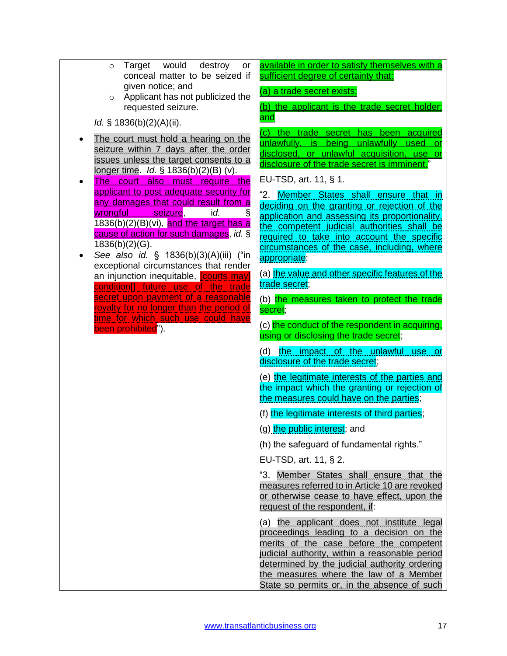| Target would<br>destroy<br>or<br>$\circ$<br>conceal matter to be seized if<br>given notice; and                                                                                                                                                                        | available in order to satisfy themselves with a<br>sufficient degree of certainty that:                                                                                                                                                                                                                                       |
|------------------------------------------------------------------------------------------------------------------------------------------------------------------------------------------------------------------------------------------------------------------------|-------------------------------------------------------------------------------------------------------------------------------------------------------------------------------------------------------------------------------------------------------------------------------------------------------------------------------|
| Applicant has not publicized the<br>$\circ$                                                                                                                                                                                                                            | (a) a trade secret exists;                                                                                                                                                                                                                                                                                                    |
| requested seizure.<br>Id. $§ 1836(b)(2)(A)(ii)$ .                                                                                                                                                                                                                      | (b) the applicant is the trade secret holder;<br><u>and</u>                                                                                                                                                                                                                                                                   |
| The court must hold a hearing on the<br>seizure within 7 days after the order<br>issues unless the target consents to a<br>longer time. <i>Id.</i> $\frac{1}{5}$ 1836(b)(2)(B) (v).<br>The court also must require the<br>applicant to post adequate security for      | (c) the trade secret has been acquired<br>unlawfully, is<br>being unlawfully used<br>or<br>disclosed, or unlawful acquisition, use or<br>disclosure of the trade secret is imminent."<br>EU-TSD, art. 11, § 1.                                                                                                                |
| any damages that could result from a<br>ş<br>wrongful<br>seizure,<br>id.<br>1836(b)(2)(B)(vi), and the target has a<br>cause of action for such damages, id. §<br>$1836(b)(2)(G)$ .<br>See also id. § 1836(b)(3)(A)(iii) ("in<br>exceptional circumstances that render | "2. Member States shall ensure that in<br>deciding on the granting or rejection of the<br>application and assessing its proportionality,<br>the competent judicial authorities shall be<br>required to take into account the specific<br>circumstances of the case, including, where<br>appropriate:                          |
| an injunction inequitable, <b>courts may</b><br>condition <sup>[]</sup> future use of the trade                                                                                                                                                                        | (a) the value and other specific features of the<br>trade secret;                                                                                                                                                                                                                                                             |
| secret upon payment of a reasonable<br>royalty for no longer than the period of<br>time for which such use could have                                                                                                                                                  | (b) the measures taken to protect the trade<br>secret;                                                                                                                                                                                                                                                                        |
| been prohibited").                                                                                                                                                                                                                                                     | (c) the conduct of the respondent in acquiring,<br>using or disclosing the trade secret;                                                                                                                                                                                                                                      |
|                                                                                                                                                                                                                                                                        | (d) <u>the impact of the unlawful</u><br><u>use</u> or<br>disclosure of the trade secret;                                                                                                                                                                                                                                     |
|                                                                                                                                                                                                                                                                        | (e) the legitimate interests of the parties and<br>the impact which the granting or rejection of<br>the measures could have on the parties;                                                                                                                                                                                   |
|                                                                                                                                                                                                                                                                        | (f) the legitimate interests of third parties;                                                                                                                                                                                                                                                                                |
|                                                                                                                                                                                                                                                                        | (g) the public interest; and                                                                                                                                                                                                                                                                                                  |
|                                                                                                                                                                                                                                                                        | (h) the safeguard of fundamental rights."                                                                                                                                                                                                                                                                                     |
|                                                                                                                                                                                                                                                                        | EU-TSD, art. 11, § 2.                                                                                                                                                                                                                                                                                                         |
|                                                                                                                                                                                                                                                                        | "3.<br>Member States shall ensure that the<br>measures referred to in Article 10 are revoked<br>or otherwise cease to have effect, upon the<br>request of the respondent, if:                                                                                                                                                 |
|                                                                                                                                                                                                                                                                        | (a) the applicant does not institute legal<br>proceedings leading to a decision on the<br>merits of the case before the competent<br>judicial authority, within a reasonable period<br>determined by the judicial authority ordering<br>the measures where the law of a Member<br>State so permits or, in the absence of such |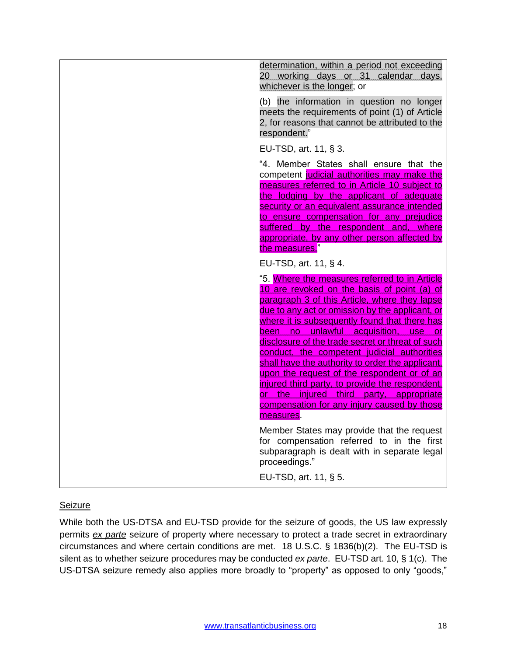| determination, within a period not exceeding<br>20 working days or 31 calendar days,<br>whichever is the longer; or                                                                                                                                                                                                                                                                                                                                                                                                                                                                                                                                          |
|--------------------------------------------------------------------------------------------------------------------------------------------------------------------------------------------------------------------------------------------------------------------------------------------------------------------------------------------------------------------------------------------------------------------------------------------------------------------------------------------------------------------------------------------------------------------------------------------------------------------------------------------------------------|
| (b) the information in question no longer<br>meets the requirements of point (1) of Article<br>2, for reasons that cannot be attributed to the<br>respondent."                                                                                                                                                                                                                                                                                                                                                                                                                                                                                               |
| EU-TSD, art. 11, § 3.                                                                                                                                                                                                                                                                                                                                                                                                                                                                                                                                                                                                                                        |
| "4. Member States shall ensure that the<br>competent judicial authorities may make the<br>measures referred to in Article 10 subject to<br>the lodging by the applicant of adequate<br>security or an equivalent assurance intended<br>to ensure compensation for any prejudice<br>suffered by the respondent and, where<br>appropriate, by any other person affected by<br>the measures."                                                                                                                                                                                                                                                                   |
| EU-TSD, art. 11, § 4.                                                                                                                                                                                                                                                                                                                                                                                                                                                                                                                                                                                                                                        |
| "5. Where the measures referred to in Article<br>10 are revoked on the basis of point (a) of<br>paragraph 3 of this Article, where they lapse<br>due to any act or omission by the applicant, or<br>where it is subsequently found that there has<br>been no unlawful acquisition, use<br>or<br>disclosure of the trade secret or threat of such<br>conduct, the competent judicial authorities<br>shall have the authority to order the applicant,<br>upon the request of the respondent or of an<br>injured third party, to provide the respondent,<br>or the injured third party, appropriate<br>compensation for any injury caused by those<br>measures. |
| Member States may provide that the request<br>for compensation referred to in the first<br>subparagraph is dealt with in separate legal<br>proceedings."                                                                                                                                                                                                                                                                                                                                                                                                                                                                                                     |
| EU-TSD, art. 11, § 5.                                                                                                                                                                                                                                                                                                                                                                                                                                                                                                                                                                                                                                        |

#### **Seizure**

While both the US-DTSA and EU-TSD provide for the seizure of goods, the US law expressly permits *ex parte* seizure of property where necessary to protect a trade secret in extraordinary circumstances and where certain conditions are met. 18 U.S.C. § 1836(b)(2). The EU-TSD is silent as to whether seizure procedures may be conducted *ex parte*. EU-TSD art. 10, § 1(c). The US-DTSA seizure remedy also applies more broadly to "property" as opposed to only "goods,"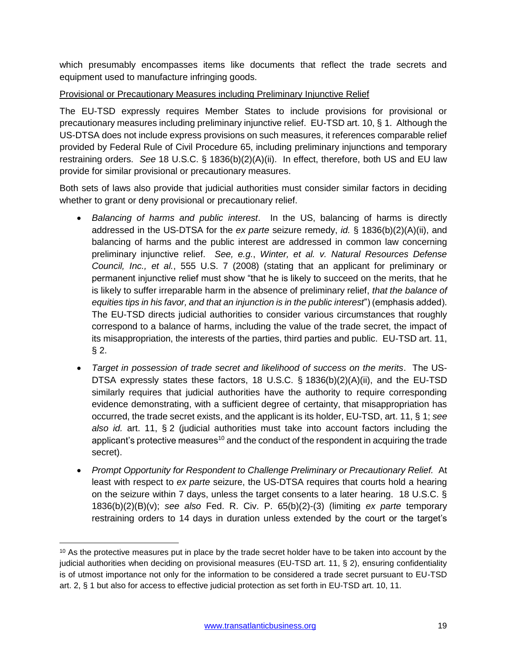which presumably encompasses items like documents that reflect the trade secrets and equipment used to manufacture infringing goods.

#### Provisional or Precautionary Measures including Preliminary Injunctive Relief

The EU-TSD expressly requires Member States to include provisions for provisional or precautionary measures including preliminary injunctive relief. EU-TSD art. 10, § 1. Although the US-DTSA does not include express provisions on such measures, it references comparable relief provided by Federal Rule of Civil Procedure 65, including preliminary injunctions and temporary restraining orders. *See* 18 U.S.C. § 1836(b)(2)(A)(ii). In effect, therefore, both US and EU law provide for similar provisional or precautionary measures.

Both sets of laws also provide that judicial authorities must consider similar factors in deciding whether to grant or deny provisional or precautionary relief.

- *Balancing of harms and public interest*. In the US, balancing of harms is directly addressed in the US-DTSA for the *ex parte* seizure remedy, *id.* § 1836(b)(2)(A)(ii), and balancing of harms and the public interest are addressed in common law concerning preliminary injunctive relief. *See, e.g.*, *Winter, et al. v. Natural Resources Defense Council, Inc., et al.*, 555 U.S. 7 (2008) (stating that an applicant for preliminary or permanent injunctive relief must show "that he is likely to succeed on the merits, that he is likely to suffer irreparable harm in the absence of preliminary relief, *that the balance of equities tips in his favor, and that an injunction is in the public interest*") (emphasis added). The EU-TSD directs judicial authorities to consider various circumstances that roughly correspond to a balance of harms, including the value of the trade secret, the impact of its misappropriation, the interests of the parties, third parties and public. EU-TSD art. 11, § 2.
- *Target in possession of trade secret and likelihood of success on the merits*. The US-DTSA expressly states these factors, 18 U.S.C. § 1836(b)(2)(A)(ii), and the EU-TSD similarly requires that judicial authorities have the authority to require corresponding evidence demonstrating, with a sufficient degree of certainty, that misappropriation has occurred, the trade secret exists, and the applicant is its holder, EU-TSD, art. 11, § 1; *see also id.* art. 11, § 2 (judicial authorities must take into account factors including the applicant's protective measures<sup>10</sup> and the conduct of the respondent in acquiring the trade secret).
- *Prompt Opportunity for Respondent to Challenge Preliminary or Precautionary Relief.* At least with respect to *ex parte* seizure, the US-DTSA requires that courts hold a hearing on the seizure within 7 days, unless the target consents to a later hearing. 18 U.S.C. § 1836(b)(2)(B)(v); *see also* Fed. R. Civ. P. 65(b)(2)-(3) (limiting *ex parte* temporary restraining orders to 14 days in duration unless extended by the court or the target's

 $\overline{a}$ 

 $10$  As the protective measures put in place by the trade secret holder have to be taken into account by the judicial authorities when deciding on provisional measures (EU-TSD art. 11, § 2), ensuring confidentiality is of utmost importance not only for the information to be considered a trade secret pursuant to EU-TSD art. 2, § 1 but also for access to effective judicial protection as set forth in EU-TSD art. 10, 11.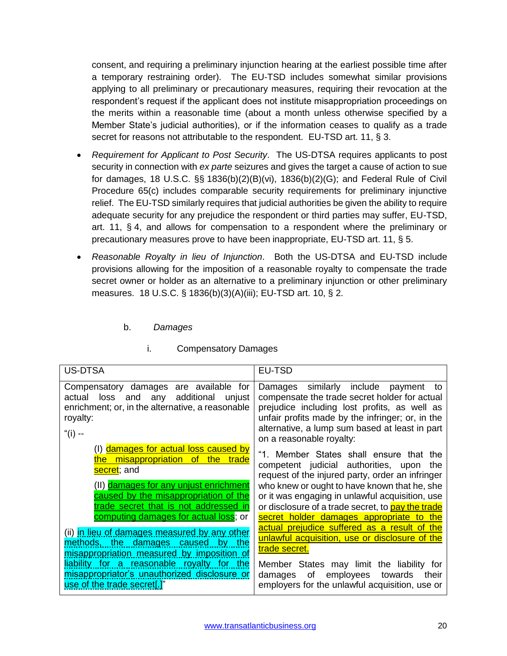consent, and requiring a preliminary injunction hearing at the earliest possible time after a temporary restraining order). The EU-TSD includes somewhat similar provisions applying to all preliminary or precautionary measures, requiring their revocation at the respondent's request if the applicant does not institute misappropriation proceedings on the merits within a reasonable time (about a month unless otherwise specified by a Member State's judicial authorities), or if the information ceases to qualify as a trade secret for reasons not attributable to the respondent. EU-TSD art. 11, § 3.

- *Requirement for Applicant to Post Security*. The US-DTSA requires applicants to post security in connection with *ex parte* seizures and gives the target a cause of action to sue for damages, 18 U.S.C. §§ 1836(b)(2)(B)(vi), 1836(b)(2)(G); and Federal Rule of Civil Procedure 65(c) includes comparable security requirements for preliminary injunctive relief. The EU-TSD similarly requires that judicial authorities be given the ability to require adequate security for any prejudice the respondent or third parties may suffer, EU-TSD, art. 11, § 4, and allows for compensation to a respondent where the preliminary or precautionary measures prove to have been inappropriate, EU-TSD art. 11, § 5.
- *Reasonable Royalty in lieu of Injunction*. Both the US-DTSA and EU-TSD include provisions allowing for the imposition of a reasonable royalty to compensate the trade secret owner or holder as an alternative to a preliminary injunction or other preliminary measures. 18 U.S.C. § 1836(b)(3)(A)(iii); EU-TSD art. 10, § 2.

# b. *Damages*

<span id="page-19-1"></span><span id="page-19-0"></span>

| <b>US-DTSA</b>                                                                                                                                                         | <b>EU-TSD</b>                                                                                                                                                                                                                                                           |
|------------------------------------------------------------------------------------------------------------------------------------------------------------------------|-------------------------------------------------------------------------------------------------------------------------------------------------------------------------------------------------------------------------------------------------------------------------|
| Compensatory damages are available for<br>any additional<br>unjust<br>actual<br>and<br>loss<br>enrichment; or, in the alternative, a reasonable<br>royalty:<br>"(i) -- | Damages similarly include payment to<br>compensate the trade secret holder for actual<br>prejudice including lost profits, as well as<br>unfair profits made by the infringer; or, in the<br>alternative, a lump sum based at least in part<br>on a reasonable royalty: |
| (I) damages for actual loss caused by<br>misappropriation of the trade<br><u>the l</u><br>secret; and                                                                  | "1. Member States shall ensure that the<br>competent judicial authorities, upon<br>the<br>request of the injured party, order an infringer                                                                                                                              |
| (II) damages for any unjust enrichment<br>caused by the misappropriation of the<br>trade secret that is not addressed in<br>computing damages for actual loss; or      | who knew or ought to have known that he, she<br>or it was engaging in unlawful acquisition, use<br>or disclosure of a trade secret, to pay the trade<br>secret holder damages appropriate to the                                                                        |
| (ii) in lieu of damages measured by any other<br>methods, the damages caused<br>by the<br>misappropriation measured by imposition of                                   | actual prejudice suffered as a result of the<br>unlawful acquisition, use or disclosure of the<br>trade secret.                                                                                                                                                         |
| <u>liability for a reasonable royalty for the</u><br>misappropriator's unauthorized disclosure or<br>use of the trade secret[.]"                                       | Member States may limit the liability for<br>employees<br>of<br>towards<br>damages<br>their<br>employers for the unlawful acquisition, use or                                                                                                                           |

#### i. Compensatory Damages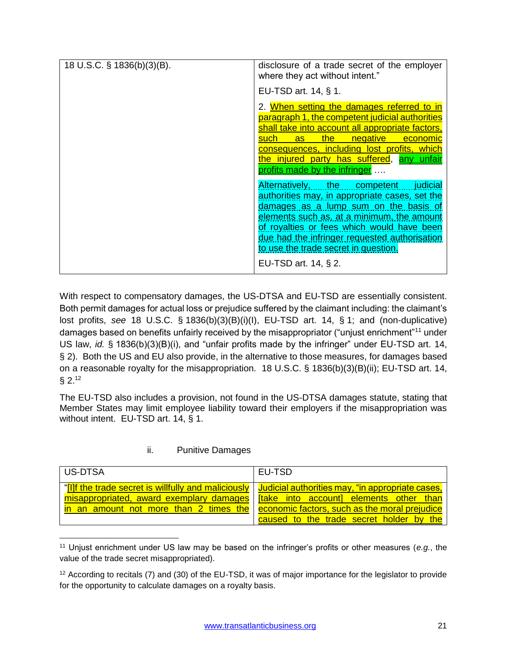| 18 U.S.C. § 1836(b)(3)(B). | disclosure of a trade secret of the employer<br>where they act without intent."                                                                                                                                                                                                                                                                  |
|----------------------------|--------------------------------------------------------------------------------------------------------------------------------------------------------------------------------------------------------------------------------------------------------------------------------------------------------------------------------------------------|
|                            | EU-TSD art. 14, § 1.                                                                                                                                                                                                                                                                                                                             |
|                            | 2. When setting the damages referred to in<br>paragraph 1, the competent judicial authorities<br>shall take into account all appropriate factors,<br>as the negative<br><mark>such</mark> a<br>economic<br>consequences, including lost profits, which<br>the injured party has suffered, any unfair<br>profits made by the infringer            |
|                            | Alternatively, the competent judicial<br>authorities may, in appropriate cases, set the<br>damages as a lump sum on the basis of<br>elements such as, at a minimum, the amount<br>of royalties or fees which would have been<br>due had the infringer requested authorisation<br>to use the trade secret in question.<br>EU-TSD art. 14, $\S$ 2. |

With respect to compensatory damages, the US-DTSA and EU-TSD are essentially consistent. Both permit damages for actual loss or prejudice suffered by the claimant including: the claimant's lost profits, *see* 18 U.S.C. § 1836(b)(3)(B)(i)(I), EU-TSD art. 14, § 1; and (non-duplicative) damages based on benefits unfairly received by the misappropriator ("unjust enrichment"<sup>11</sup> under US law, *id.* § 1836(b)(3)(B)(i), and "unfair profits made by the infringer" under EU-TSD art. 14, § 2). Both the US and EU also provide, in the alternative to those measures, for damages based on a reasonable royalty for the misappropriation. 18 U.S.C. § 1836(b)(3)(B)(ii); EU-TSD art. 14, § 2.<sup>12</sup>

The EU-TSD also includes a provision, not found in the US-DTSA damages statute, stating that Member States may limit employee liability toward their employers if the misappropriation was without intent. EU-TSD art. 14, § 1.

# ii. Punitive Damages

<span id="page-20-0"></span>

| US-DTSA                                                                                                | EU-TSD                                                                                                                                                                                                                 |
|--------------------------------------------------------------------------------------------------------|------------------------------------------------------------------------------------------------------------------------------------------------------------------------------------------------------------------------|
| "[I]f the trade secret is willfully and maliciously   Judicial authorities may, "in appropriate cases, | misappropriated, award exemplary damages   [take into account] elements other than<br>in an amount not more than 2 times the economic factors, such as the moral prejudice<br>caused to the trade secret holder by the |

 $\overline{a}$ <sup>11</sup> Unjust enrichment under US law may be based on the infringer's profits or other measures (*e.g.*, the value of the trade secret misappropriated).

<sup>&</sup>lt;sup>12</sup> According to recitals (7) and (30) of the EU-TSD, it was of major importance for the legislator to provide for the opportunity to calculate damages on a royalty basis.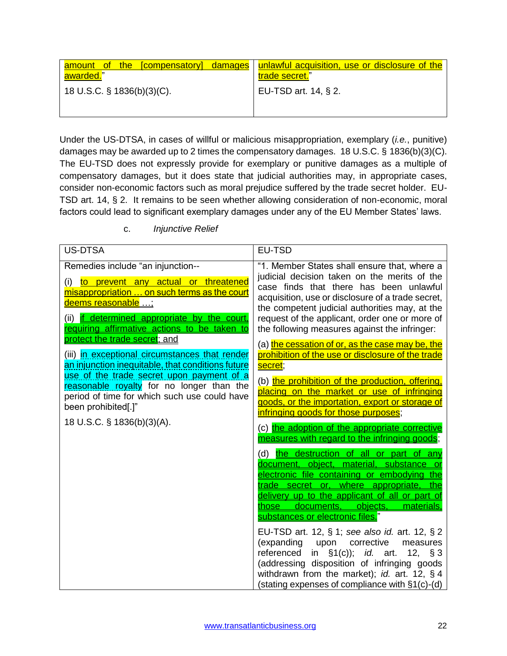| amount of the [compensatory] damages   unlawful acquisition, use or disclosure of the<br>awarded." | trade secret."       |
|----------------------------------------------------------------------------------------------------|----------------------|
| 18 U.S.C. § 1836(b)(3)(C).                                                                         | EU-TSD art. 14, § 2. |

Under the US-DTSA, in cases of willful or malicious misappropriation, exemplary (*i.e.*, punitive) damages may be awarded up to 2 times the compensatory damages. 18 U.S.C. § 1836(b)(3)(C). The EU-TSD does not expressly provide for exemplary or punitive damages as a multiple of compensatory damages, but it does state that judicial authorities may, in appropriate cases, consider non-economic factors such as moral prejudice suffered by the trade secret holder. EU-TSD art. 14, § 2. It remains to be seen whether allowing consideration of non-economic, moral factors could lead to significant exemplary damages under any of the EU Member States' laws.

<span id="page-21-0"></span>

| <b>US-DTSA</b>                                                                                                                                                                                                                                                                                     | EU-TSD                                                                                                                                                                                                                                                                                                                                            |
|----------------------------------------------------------------------------------------------------------------------------------------------------------------------------------------------------------------------------------------------------------------------------------------------------|---------------------------------------------------------------------------------------------------------------------------------------------------------------------------------------------------------------------------------------------------------------------------------------------------------------------------------------------------|
| Remedies include "an injunction--<br>to prevent any actual or threatened<br>(i)<br>misappropriation  on such terms as the court<br><u>deems reasonable ;</u><br>(ii) if determined appropriate by the court,<br>requiring affirmative actions to be taken to<br>protect the trade secret; and      | "1. Member States shall ensure that, where a<br>judicial decision taken on the merits of the<br>case finds that there has been unlawful<br>acquisition, use or disclosure of a trade secret,<br>the competent judicial authorities may, at the<br>request of the applicant, order one or more of<br>the following measures against the infringer: |
| (iii) in exceptional circumstances that render<br>an injunction inequitable, that conditions future<br>use of the trade secret upon payment of a<br>reasonable royalty for no longer than the<br>period of time for which such use could have<br>been prohibited[.]"<br>18 U.S.C. § 1836(b)(3)(A). | (a) the cessation of or, as the case may be, the<br>prohibition of the use or disclosure of the trade<br>secret;                                                                                                                                                                                                                                  |
|                                                                                                                                                                                                                                                                                                    | (b) the prohibition of the production, offering,<br>placing on the market or use of infringing<br>goods, or the importation, export or storage of<br>infringing goods for those purposes;                                                                                                                                                         |
|                                                                                                                                                                                                                                                                                                    | (c) the adoption of the appropriate corrective<br>measures with regard to the infringing goods;                                                                                                                                                                                                                                                   |
|                                                                                                                                                                                                                                                                                                    | (d) the destruction of all or part of any<br>document, object, material, substance or<br>electronic file containing or embodying the<br>trade secret or, where appropriate, the<br>delivery up to the applicant of all or part of<br>those documents, objects,<br>materials,<br>substances or electronic files."                                  |
|                                                                                                                                                                                                                                                                                                    | EU-TSD art. 12, § 1; see also id. art. 12, § 2<br>(expanding upon corrective<br>measures<br>referenced<br>in §1(c)); <i>id.</i> art. 12, §3<br>(addressing disposition of infringing goods<br>withdrawn from the market); id. art. 12, § 4<br>(stating expenses of compliance with $\S1(c)$ -(d)                                                  |

c. *Injunctive Relief*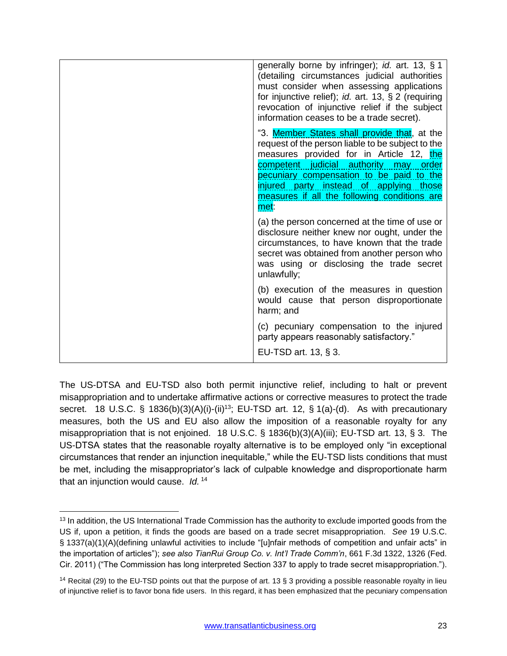| generally borne by infringer); id. art. 13, § 1<br>(detailing circumstances judicial authorities<br>must consider when assessing applications<br>for injunctive relief); <i>id.</i> art. 13, $\S$ 2 (requiring<br>revocation of injunctive relief if the subject<br>information ceases to be a trade secret).                          |
|----------------------------------------------------------------------------------------------------------------------------------------------------------------------------------------------------------------------------------------------------------------------------------------------------------------------------------------|
| "3. Member States shall provide that, at the<br>request of the person liable to be subject to the<br>measures provided for in Article 12, the<br>competent judicial authority may order<br>pecuniary compensation to be paid to the<br>injured party instead of applying those<br>measures if all the following conditions are<br>met: |
| (a) the person concerned at the time of use or<br>disclosure neither knew nor ought, under the<br>circumstances, to have known that the trade<br>secret was obtained from another person who<br>was using or disclosing the trade secret<br>unlawfully;                                                                                |
| (b) execution of the measures in question<br>would cause that person disproportionate<br>harm; and                                                                                                                                                                                                                                     |
| (c) pecuniary compensation to the injured<br>party appears reasonably satisfactory."                                                                                                                                                                                                                                                   |
| EU-TSD art. 13, § 3.                                                                                                                                                                                                                                                                                                                   |

The US-DTSA and EU-TSD also both permit injunctive relief, including to halt or prevent misappropriation and to undertake affirmative actions or corrective measures to protect the trade secret. 18 U.S.C. § 1836(b)(3)(A)(i)-(ii)<sup>13</sup>; EU-TSD art. 12, § 1(a)-(d). As with precautionary measures, both the US and EU also allow the imposition of a reasonable royalty for any misappropriation that is not enjoined. 18 U.S.C. § 1836(b)(3)(A)(iii); EU-TSD art. 13, § 3. The US-DTSA states that the reasonable royalty alternative is to be employed only "in exceptional circumstances that render an injunction inequitable," while the EU-TSD lists conditions that must be met, including the misappropriator's lack of culpable knowledge and disproportionate harm that an injunction would cause. *Id.* <sup>14</sup>

 $\overline{a}$ 

<sup>&</sup>lt;sup>13</sup> In addition, the US International Trade Commission has the authority to exclude imported goods from the US if, upon a petition, it finds the goods are based on a trade secret misappropriation. *See* 19 U.S.C. § 1337(a)(1)(A)(defining unlawful activities to include "[u]nfair methods of competition and unfair acts" in the importation of articles"); *see also TianRui Group Co. v. Int'l Trade Comm'n*, 661 F.3d 1322, 1326 (Fed. Cir. 2011) ("The Commission has long interpreted Section 337 to apply to trade secret misappropriation.").

<sup>&</sup>lt;sup>14</sup> Recital (29) to the EU-TSD points out that the purpose of art. 13 § 3 providing a possible reasonable royalty in lieu of injunctive relief is to favor bona fide users. In this regard, it has been emphasized that the pecuniary compensation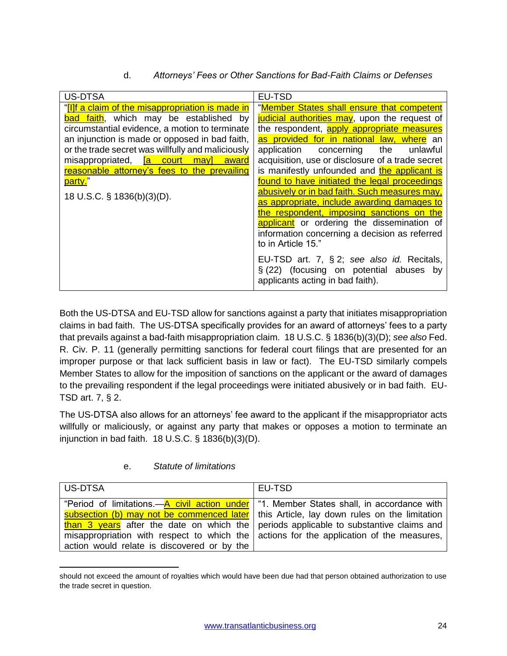d. *Attorneys' Fees or Other Sanctions for Bad-Faith Claims or Defenses*

<span id="page-23-0"></span>

| US-DTSA                                                   | EU-TSD                                                                        |
|-----------------------------------------------------------|-------------------------------------------------------------------------------|
| "[I]f a claim of the misappropriation is made in          | "Member States shall ensure that competent                                    |
| bad faith, which may be established by                    | judicial authorities may, upon the request of                                 |
| circumstantial evidence, a motion to terminate            | the respondent, apply appropriate measures                                    |
| an injunction is made or opposed in bad faith,            | as provided for in national law, where an                                     |
| or the trade secret was willfully and maliciously         | the<br>application<br>concerning<br>unlawful                                  |
| misappropriated, <mark>[a court ]</mark><br>may]<br>award | acquisition, use or disclosure of a trade secret                              |
| reasonable attorney's fees to the prevailing              | is manifestly unfounded and the applicant is                                  |
| party."                                                   | found to have initiated the legal proceedings                                 |
| 18 U.S.C. § 1836(b)(3)(D).                                | abusively or in bad faith. Such measures may,                                 |
|                                                           | as appropriate, include awarding damages to                                   |
|                                                           | the respondent, imposing sanctions on the                                     |
|                                                           | applicant or ordering the dissemination of                                    |
|                                                           | information concerning a decision as referred                                 |
|                                                           | to in Article 15."                                                            |
|                                                           |                                                                               |
|                                                           | EU-TSD art. 7, § 2; see also id. Recitals,                                    |
|                                                           | $\S(22)$ (focusing on potential abuses by<br>applicants acting in bad faith). |
|                                                           |                                                                               |

Both the US-DTSA and EU-TSD allow for sanctions against a party that initiates misappropriation claims in bad faith. The US-DTSA specifically provides for an award of attorneys' fees to a party that prevails against a bad-faith misappropriation claim. 18 U.S.C. § 1836(b)(3)(D); *see also* Fed. R. Civ. P. 11 (generally permitting sanctions for federal court filings that are presented for an improper purpose or that lack sufficient basis in law or fact). The EU-TSD similarly compels Member States to allow for the imposition of sanctions on the applicant or the award of damages to the prevailing respondent if the legal proceedings were initiated abusively or in bad faith. EU-TSD art. 7, § 2.

The US-DTSA also allows for an attorneys' fee award to the applicant if the misappropriator acts willfully or maliciously, or against any party that makes or opposes a motion to terminate an injunction in bad faith. 18 U.S.C. § 1836(b)(3)(D).

# e. *Statute of limitations*

 $\overline{\phantom{a}}$ 

<span id="page-23-1"></span>

| US-DTSA                                     | EU-TSD                                                                                                  |
|---------------------------------------------|---------------------------------------------------------------------------------------------------------|
|                                             | "Period of limitations.—A civil action under   "1. Member States shall, in accordance with              |
|                                             | subsection (b) may not be commenced later   this Article, lay down rules on the limitation              |
|                                             | than 3 years after the date on which the periods applicable to substantive claims and                   |
|                                             | misappropriation with respect to which the $\vert$ actions for the application of the measures, $\vert$ |
| action would relate is discovered or by the |                                                                                                         |

should not exceed the amount of royalties which would have been due had that person obtained authorization to use the trade secret in question.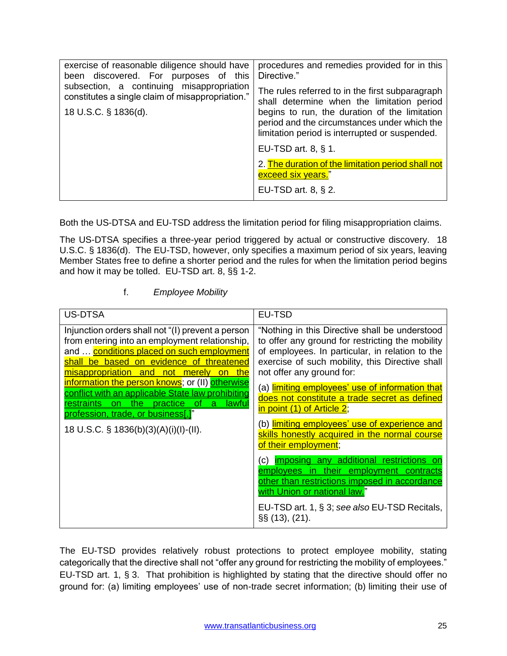| exercise of reasonable diligence should have<br>been discovered. For purposes of this         | procedures and remedies provided for in this<br>Directive."                                                                                     |
|-----------------------------------------------------------------------------------------------|-------------------------------------------------------------------------------------------------------------------------------------------------|
| subsection, a continuing misappropriation<br>constitutes a single claim of misappropriation." | The rules referred to in the first subparagraph<br>shall determine when the limitation period                                                   |
| 18 U.S.C. § 1836(d).                                                                          | begins to run, the duration of the limitation<br>period and the circumstances under which the<br>limitation period is interrupted or suspended. |
|                                                                                               | EU-TSD art. $8, \S$ 1.                                                                                                                          |
|                                                                                               | 2. The duration of the limitation period shall not<br>exceed six years."                                                                        |
|                                                                                               | EU-TSD art. $8, § 2$ .                                                                                                                          |

Both the US-DTSA and EU-TSD address the limitation period for filing misappropriation claims.

The US-DTSA specifies a three-year period triggered by actual or constructive discovery. 18 U.S.C. § 1836(d). The EU-TSD, however, only specifies a maximum period of six years, leaving Member States free to define a shorter period and the rules for when the limitation period begins and how it may be tolled. EU-TSD art. 8, §§ 1-2.

#### f. *Employee Mobility*

<span id="page-24-0"></span>

| <b>US-DTSA</b>                                                                                                                                                                                                                                                                                                                                                                                                                    | EU-TSD                                                                                                                                                                                                                                                                                                                                                                                                                               |
|-----------------------------------------------------------------------------------------------------------------------------------------------------------------------------------------------------------------------------------------------------------------------------------------------------------------------------------------------------------------------------------------------------------------------------------|--------------------------------------------------------------------------------------------------------------------------------------------------------------------------------------------------------------------------------------------------------------------------------------------------------------------------------------------------------------------------------------------------------------------------------------|
| Injunction orders shall not "(I) prevent a person<br>from entering into an employment relationship,<br>and  conditions placed on such employment<br>shall be based on evidence of threatened<br>misappropriation and not merely<br>on the<br>information the person knows; or (II) otherwise<br>conflict with an applicable State law prohibiting<br>restraints on the practice of a lawful<br>profession, trade, or business[.]" | "Nothing in this Directive shall be understood<br>to offer any ground for restricting the mobility<br>of employees. In particular, in relation to the<br>exercise of such mobility, this Directive shall<br>not offer any ground for:<br>a) limiting employees' use of information that<br>does not constitute a trade secret as defined<br>in point (1) of Article 2;<br>(b) <mark>limiting employees' use of experience and</mark> |
| 18 U.S.C. § 1836(b)(3)(A)(i)(l)-(II).                                                                                                                                                                                                                                                                                                                                                                                             | skills honestly acquired in the normal course<br>of their employment;                                                                                                                                                                                                                                                                                                                                                                |
|                                                                                                                                                                                                                                                                                                                                                                                                                                   | imposing any additional restrictions on<br>C)<br>employees in their employment<br>contracts<br>other than restrictions imposed in accordance<br><u>with Union or national law.</u> "                                                                                                                                                                                                                                                 |
|                                                                                                                                                                                                                                                                                                                                                                                                                                   | EU-TSD art. 1, § 3; see also EU-TSD Recitals,<br>$\S\S(13)$ , $(21)$ .                                                                                                                                                                                                                                                                                                                                                               |

The EU-TSD provides relatively robust protections to protect employee mobility, stating categorically that the directive shall not "offer any ground for restricting the mobility of employees." EU-TSD art. 1, § 3. That prohibition is highlighted by stating that the directive should offer no ground for: (a) limiting employees' use of non-trade secret information; (b) limiting their use of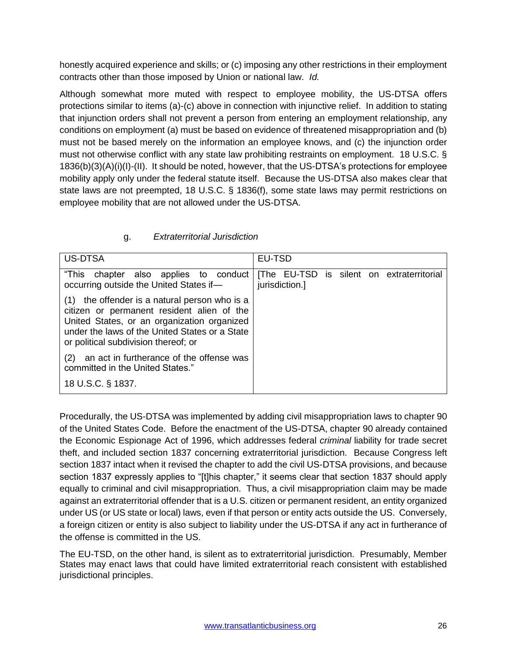honestly acquired experience and skills; or (c) imposing any other restrictions in their employment contracts other than those imposed by Union or national law. *Id.*

Although somewhat more muted with respect to employee mobility, the US-DTSA offers protections similar to items (a)-(c) above in connection with injunctive relief. In addition to stating that injunction orders shall not prevent a person from entering an employment relationship, any conditions on employment (a) must be based on evidence of threatened misappropriation and (b) must not be based merely on the information an employee knows, and (c) the injunction order must not otherwise conflict with any state law prohibiting restraints on employment. 18 U.S.C. § 1836(b)(3)(A)(i)(I)-(II). It should be noted, however, that the US-DTSA's protections for employee mobility apply only under the federal statute itself. Because the US-DTSA also makes clear that state laws are not preempted, 18 U.S.C. § 1836(f), some state laws may permit restrictions on employee mobility that are not allowed under the US-DTSA.

# g. *Extraterritorial Jurisdiction*

<span id="page-25-0"></span>

| US-DTSA                                                                                                                                                                                                                                 | EU-TSD                                                      |
|-----------------------------------------------------------------------------------------------------------------------------------------------------------------------------------------------------------------------------------------|-------------------------------------------------------------|
| "This chapter also applies to conduct<br>occurring outside the United States if-                                                                                                                                                        | [The EU-TSD is silent on extraterritorial<br>jurisdiction.] |
| the offender is a natural person who is a<br>(1)<br>citizen or permanent resident alien of the<br>United States, or an organization organized<br>under the laws of the United States or a State<br>or political subdivision thereof; or |                                                             |
| an act in furtherance of the offense was<br>(2)<br>committed in the United States."                                                                                                                                                     |                                                             |
| 18 U.S.C. § 1837.                                                                                                                                                                                                                       |                                                             |

Procedurally, the US-DTSA was implemented by adding civil misappropriation laws to chapter 90 of the United States Code. Before the enactment of the US-DTSA, chapter 90 already contained the Economic Espionage Act of 1996, which addresses federal *criminal* liability for trade secret theft, and included section 1837 concerning extraterritorial jurisdiction. Because Congress left section 1837 intact when it revised the chapter to add the civil US-DTSA provisions, and because section 1837 expressly applies to "[t]his chapter," it seems clear that section 1837 should apply equally to criminal and civil misappropriation. Thus, a civil misappropriation claim may be made against an extraterritorial offender that is a U.S. citizen or permanent resident, an entity organized under US (or US state or local) laws, even if that person or entity acts outside the US. Conversely, a foreign citizen or entity is also subject to liability under the US-DTSA if any act in furtherance of the offense is committed in the US.

The EU-TSD, on the other hand, is silent as to extraterritorial jurisdiction. Presumably, Member States may enact laws that could have limited extraterritorial reach consistent with established jurisdictional principles.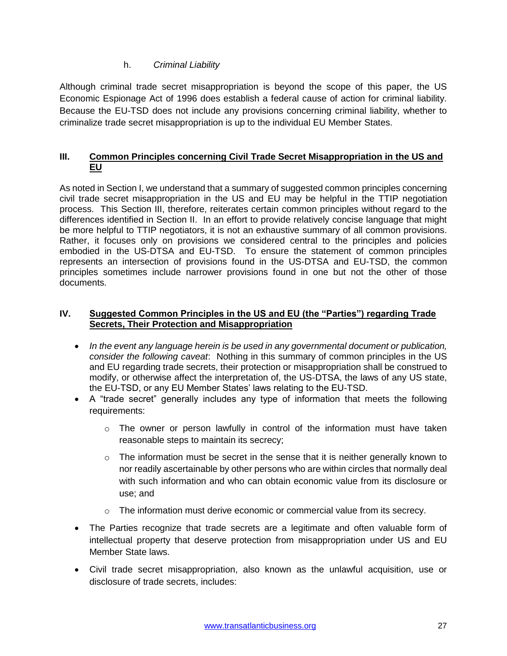#### h. *Criminal Liability*

<span id="page-26-0"></span>Although criminal trade secret misappropriation is beyond the scope of this paper, the US Economic Espionage Act of 1996 does establish a federal cause of action for criminal liability. Because the EU-TSD does not include any provisions concerning criminal liability, whether to criminalize trade secret misappropriation is up to the individual EU Member States.

# <span id="page-26-1"></span>**III. Common Principles concerning Civil Trade Secret Misappropriation in the US and EU**

As noted in Section I, we understand that a summary of suggested common principles concerning civil trade secret misappropriation in the US and EU may be helpful in the TTIP negotiation process. This Section III, therefore, reiterates certain common principles without regard to the differences identified in Section II. In an effort to provide relatively concise language that might be more helpful to TTIP negotiators, it is not an exhaustive summary of all common provisions. Rather, it focuses only on provisions we considered central to the principles and policies embodied in the US-DTSA and EU-TSD. To ensure the statement of common principles represents an intersection of provisions found in the US-DTSA and EU-TSD, the common principles sometimes include narrower provisions found in one but not the other of those documents.

#### <span id="page-26-2"></span>**IV. Suggested Common Principles in the US and EU (the "Parties") regarding Trade Secrets, Their Protection and Misappropriation**

- *In the event any language herein is be used in any governmental document or publication, consider the following caveat*: Nothing in this summary of common principles in the US and EU regarding trade secrets, their protection or misappropriation shall be construed to modify, or otherwise affect the interpretation of, the US-DTSA, the laws of any US state, the EU-TSD, or any EU Member States' laws relating to the EU-TSD.
- A "trade secret" generally includes any type of information that meets the following requirements:
	- o The owner or person lawfully in control of the information must have taken reasonable steps to maintain its secrecy;
	- $\circ$  The information must be secret in the sense that it is neither generally known to nor readily ascertainable by other persons who are within circles that normally deal with such information and who can obtain economic value from its disclosure or use; and
	- $\circ$  The information must derive economic or commercial value from its secrecy.
- The Parties recognize that trade secrets are a legitimate and often valuable form of intellectual property that deserve protection from misappropriation under US and EU Member State laws.
- Civil trade secret misappropriation, also known as the unlawful acquisition, use or disclosure of trade secrets, includes: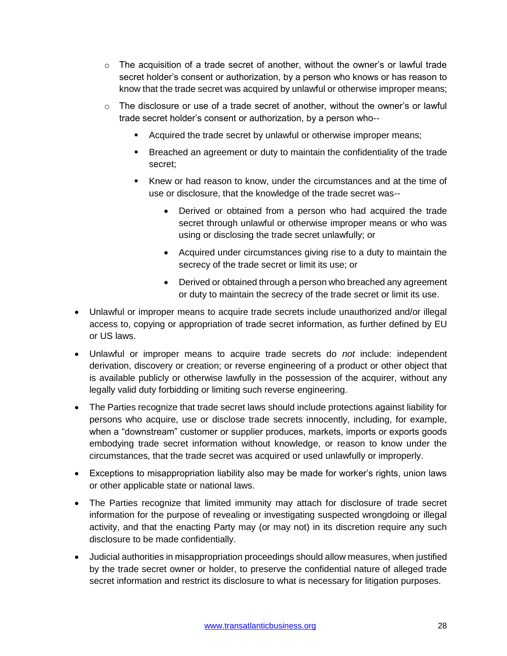- $\circ$  The acquisition of a trade secret of another, without the owner's or lawful trade secret holder's consent or authorization, by a person who knows or has reason to know that the trade secret was acquired by unlawful or otherwise improper means;
- $\circ$  The disclosure or use of a trade secret of another, without the owner's or lawful trade secret holder's consent or authorization, by a person who--
	- Acquired the trade secret by unlawful or otherwise improper means;
	- Breached an agreement or duty to maintain the confidentiality of the trade secret;
	- Knew or had reason to know, under the circumstances and at the time of use or disclosure, that the knowledge of the trade secret was--
		- Derived or obtained from a person who had acquired the trade secret through unlawful or otherwise improper means or who was using or disclosing the trade secret unlawfully; or
		- Acquired under circumstances giving rise to a duty to maintain the secrecy of the trade secret or limit its use; or
		- Derived or obtained through a person who breached any agreement or duty to maintain the secrecy of the trade secret or limit its use.
- Unlawful or improper means to acquire trade secrets include unauthorized and/or illegal access to, copying or appropriation of trade secret information, as further defined by EU or US laws.
- Unlawful or improper means to acquire trade secrets do *not* include: independent derivation, discovery or creation; or reverse engineering of a product or other object that is available publicly or otherwise lawfully in the possession of the acquirer, without any legally valid duty forbidding or limiting such reverse engineering.
- The Parties recognize that trade secret laws should include protections against liability for persons who acquire, use or disclose trade secrets innocently, including, for example, when a "downstream" customer or supplier produces, markets, imports or exports goods embodying trade secret information without knowledge, or reason to know under the circumstances, that the trade secret was acquired or used unlawfully or improperly.
- Exceptions to misappropriation liability also may be made for worker's rights, union laws or other applicable state or national laws.
- The Parties recognize that limited immunity may attach for disclosure of trade secret information for the purpose of revealing or investigating suspected wrongdoing or illegal activity, and that the enacting Party may (or may not) in its discretion require any such disclosure to be made confidentially.
- Judicial authorities in misappropriation proceedings should allow measures, when justified by the trade secret owner or holder, to preserve the confidential nature of alleged trade secret information and restrict its disclosure to what is necessary for litigation purposes.